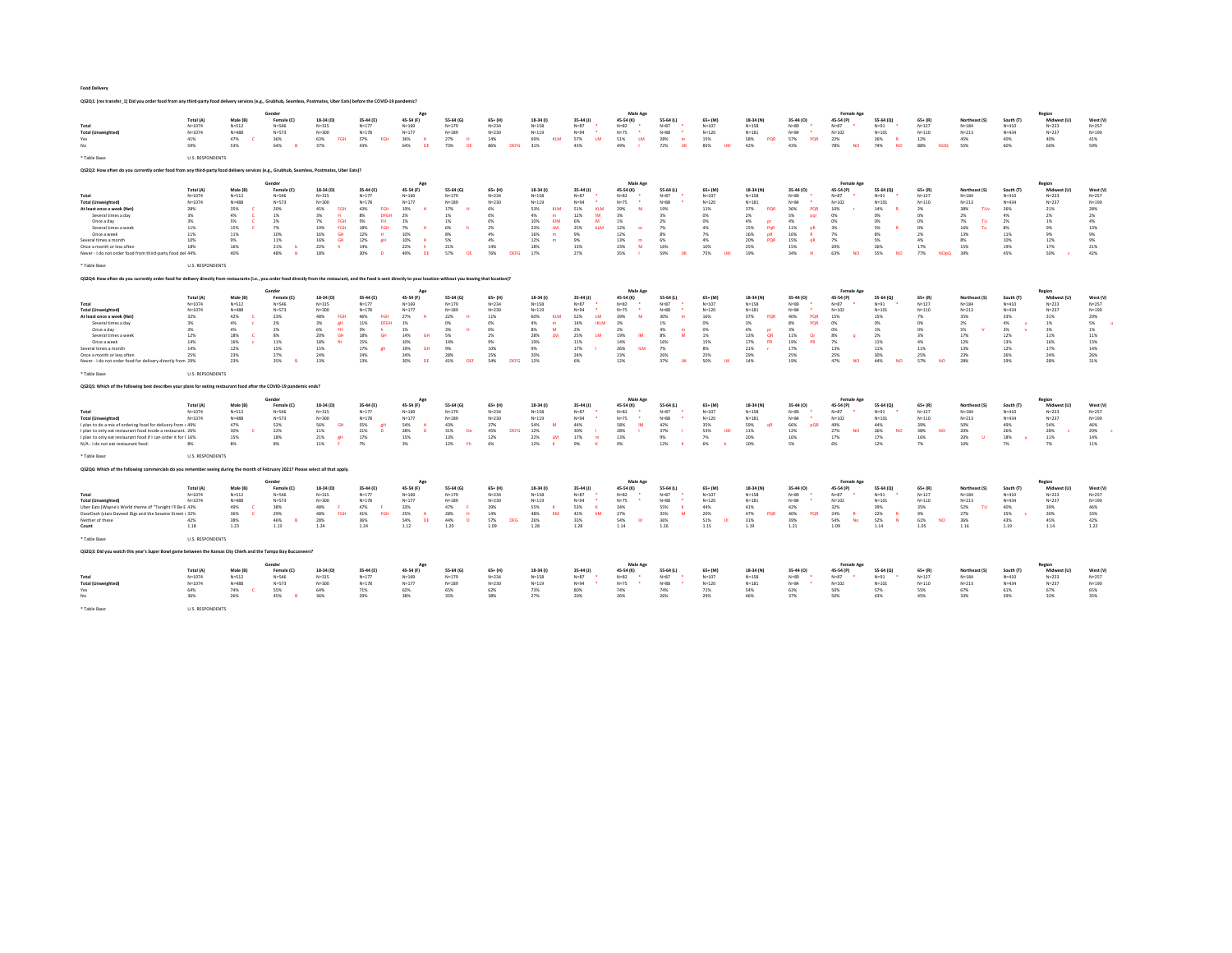| Q\$2Q1: [res transfer_1] Did you order food from any third-party food delivery services (e.g., Grubhub, Seamless, Postmates, Uber Eats) before the COVID-19 pandemic?                                                       |                          |                        |                              |                                      |                          |                              |                            |                           |                         |                         |                          |                           |                          |                          |                               |                                |                          |                         |                            |                        |                          |                        |
|-----------------------------------------------------------------------------------------------------------------------------------------------------------------------------------------------------------------------------|--------------------------|------------------------|------------------------------|--------------------------------------|--------------------------|------------------------------|----------------------------|---------------------------|-------------------------|-------------------------|--------------------------|---------------------------|--------------------------|--------------------------|-------------------------------|--------------------------------|--------------------------|-------------------------|----------------------------|------------------------|--------------------------|------------------------|
|                                                                                                                                                                                                                             |                          |                        | Gende                        |                                      |                          |                              |                            |                           |                         |                         | Male Age                 |                           |                          |                          |                               | <b>Female Age</b>              |                          |                         |                            |                        | Region                   |                        |
| Total                                                                                                                                                                                                                       | Total (A)<br>$N = 1074$  | Male (B)<br>$N = 512$  | Female (C)<br>$N = 546$      | 18-34 (D)<br>$N = 315$               | 35-44 (E)<br>$N = 177$   | 45-54 (F)<br>$N = 169$       | 55-64 (G)<br>$N = 179$     | $65 + (H)$<br>$N = 234$   | 18-34 (f)<br>$N = 158$  | 35-44 (J)<br>$N=87$     | 45-54 (K)<br>$N = 82$    | 55-64 (L)<br>$N=87$       | $65+ (M)$<br>$N = 107$   | 18-34 (N)<br>$N = 158$   | 35-44 (0)<br>$N = 89$         | 45-54 (P)<br>$N=87$            | 55-64 (Q)<br>$N = 91$    | $65+ (R)$<br>$N = 127$  | Northeast (S)<br>$N = 184$ | South (T)<br>$N = 410$ | Midwest (U)<br>$N = 223$ | West (V)<br>$N = 257$  |
| <b>Total (Unweighted)</b>                                                                                                                                                                                                   | $N = 1074$               | $N = 488$              | $N = 572$                    | $N = 300$                            | $N = 178$                | $N = 177$                    | $N = 189$                  | $N = 230$                 | $N = 119$               | $N = 94$                | $N = 75$                 | $N = 88$                  | $N = 120$                | $N = 1.81$               | $N = 84$                      | $N = 102$                      | $N = 101$                | $N = 110$               | $N=213$                    | $N = 434$              | $N = 237$                | $N = 190$              |
| Yes<br>No                                                                                                                                                                                                                   | 41%<br>59%               | 47%<br>53%             | 36%<br>64%<br>$\overline{R}$ | 63%<br>EGH<br>37%                    | 57%<br><b>FGH</b><br>43% | 36%<br>64%<br><b>DF</b>      | 27%<br>H<br>73%<br>ng      | 14%<br>86%<br>DEEG        | 69%<br>KLM<br>31%       | 57%<br><b>LM</b><br>43% | 51%<br><b>LM</b><br>49%  | 28%<br>m<br>72%<br>$-11K$ | 15%<br>85%<br>TIKI       | 58%<br>POR<br>42%        | 57%<br>POR<br>43%             | 22%<br>78%                     | 26%<br>74%<br>NO         | 12%<br>88%<br>NOO       | 45%<br>55%                 | 40%<br>60%             | 40%<br>60%               | 41%<br>59%             |
| * Table Base:                                                                                                                                                                                                               | <b>U.S. RESPONDENTS</b>  |                        |                              |                                      |                          |                              |                            |                           |                         |                         |                          |                           |                          |                          |                               |                                |                          |                         |                            |                        |                          |                        |
| Q\$2Q2: How often do you currently order food from any third-party food delivery services (e.g., Grubhub, Seamless, Postmates, Uber Eats)?                                                                                  |                          |                        |                              |                                      |                          |                              |                            |                           |                         |                         |                          |                           |                          |                          |                               |                                |                          |                         |                            |                        |                          |                        |
|                                                                                                                                                                                                                             |                          |                        | Gender                       |                                      |                          |                              |                            |                           |                         |                         | Male Age                 |                           |                          |                          |                               | <b>Female Age</b>              |                          |                         |                            |                        | Region                   |                        |
|                                                                                                                                                                                                                             | <b>Total (A)</b>         | Male (B)               | Female (C)                   | 18-34 (D)                            | 35-44 (E)                | 45-54 (F)                    | 55-64 (G)                  | $65 + (H)$                | 18-34 (f)               | $35-44$ (J)             | 45-54 (K)                | 55-64 (L)                 | $65+ (M)$                | 18-34 (N)                | 35-44 (0)                     | 45-54 (P)                      | 55-64 (Q)                | $65 + (R)$              | Northeast (S)              | South (T)              | Midwest (U)              | West (V)               |
| Total<br><b>Total (Unweighted)</b>                                                                                                                                                                                          | $N = 1074$<br>$N = 1074$ | $N = 512$<br>$N = 488$ | $N = 546$<br>$N = 573$       | $N = 315$<br>$N = 300$               | $N = 1.77$<br>$N = 178$  | $N = 169$<br>$N = 177$       | $N = 179$<br>$N = 189$     | $N = 234$<br>$N = 230$    | $N = 158$<br>$N = 119$  | $N = 87$<br>$N = 94$    | $N = R2$<br>$N = 75$     | $N=87$<br>$N = 88$        | $N = 107$<br>$N = 120$   | $N = 158$<br>$N = 181$   | $N = 89$<br>$N = 84$          | $N = 87$<br>$N = 102$          | $N = 91$<br>$N = 101$    | $N = 127$<br>$N = 110$  | $N = 184$<br>$N = 213$     | $N = 410$<br>$N = 434$ | $N = 223$<br>$N = 237$   | $N = 257$<br>$N = 190$ |
| At least once a week (Net)                                                                                                                                                                                                  | 28%                      | 35%                    | 20%                          | 45%<br>EGU                           | 43%<br>EGH               | 19%                          | 17%                        | 6%                        | 53%<br>KLM              | 51%<br>KLM              | 29%<br>14.4              | 19%                       | 11%                      | 37%<br>POR               | 36%<br>POR                    | 10%                            | 14%                      | 2%                      | 38%<br>TUV                 | 26%                    | 21%                      | 28%                    |
| Several times a day                                                                                                                                                                                                         | 3%                       | 4%                     | 1%                           | 206<br><b>u</b>                      | 8%<br><b>DEGH</b>        | 2%                           | 1%                         | 0%                        | 4%<br>$\blacksquare$    | 12%<br>IM               | 3%                       | 2 <sub>N</sub>            | CMG.                     | 2%                       | 5%<br>par                     | n%                             | 0%                       | 0%                      | 2%                         | 4%                     | 2%                       | 2%                     |
| Once a day                                                                                                                                                                                                                  | 3%                       | 5%                     | 2%                           | 7%<br>EGH                            | 5%<br><b>FH</b>          | 1%                           | 1%                         | 0%                        | 10%<br>KIM              | 6%<br>M                 | 1%                       | 2%                        | 0%                       | 4%<br><b>nr</b>          | 4%                            | n                              | 0%                       | 0%                      | 7%<br>TU                   | 2%                     | 1%                       | 4%                     |
| Several times a week                                                                                                                                                                                                        | 11%                      | 15%                    | 7%                           | 19%<br>FGH                           | 18%<br>FGH               | 7%                           | 6%                         | 2%                        | 23%<br>LM.              | 25%<br>kLM              | 12%                      | 7%                        | 4%                       | 15%<br>PoR               | 11%<br><b>DR</b>              | 3%                             | 5%                       | 0%                      | 16%<br>Tu                  | 8%                     | 9%                       | 13%                    |
| Once a week<br>Several times a month                                                                                                                                                                                        | 11%<br>10%               | 11%<br>9%              | 10%<br>11%                   | 16%<br><b>GH</b><br>16%<br><b>GH</b> | 12%<br>12%<br>$1$        | 10%<br>10%                   | 8%<br>5%                   | 4%<br>4%                  | 16%<br>m<br>12%<br>m    | 9%<br>9%                | 12%<br>13%<br>m          | 8%<br>6%                  | 7%<br>4%                 | 16%<br>nR.<br>20%<br>POR | 16%<br>15%<br><b>oR</b>       | 7%<br>7%                       | 8%<br>5%                 | 2%<br>4%                | 13%<br>8%                  | 11%<br>10%             | 9%<br>12%                | 9%<br>$9\%$            |
| Once a month or less often                                                                                                                                                                                                  | 18%                      | 16%                    | 21%<br>h                     | 22%                                  | 14%                      | 22%                          | 21%                        | 14%                       | 18%                     | 13%                     | 23%<br><b>M</b>          | 16%                       | 10%                      | 25%                      | 15%                           | 20%                            | 26%                      | 17%                     | 15%                        | 19%                    | 17%                      | 21%                    |
| Never - I do not order food from third-party food del 44%                                                                                                                                                                   |                          | 40%                    | 48%<br>B                     | 18%                                  | 30%                      | 49%<br>DE                    | 57%<br>DE                  | 76%<br>DEEG               | 17%                     | 27%                     | 35%                      | 59%<br>TIK                | 75%<br>TIK               | 19%                      | 34%                           | 63%<br><b>NO</b>               | 55%<br><b>NO</b>         | 77%<br><b>NOpO</b>      | 39%                        | 45%                    | 50%                      | 42%                    |
| * Table Base:                                                                                                                                                                                                               | <b>U.S. RESPONDENTS</b>  |                        |                              |                                      |                          |                              |                            |                           |                         |                         |                          |                           |                          |                          |                               |                                |                          |                         |                            |                        |                          |                        |
| Q\$2Q4: How often do you currently order food for delivery directly from restaurants (i.e., you order food directly from the restaurant, and the food is sent directly to your location without you leaving that location)? |                          |                        |                              |                                      |                          |                              |                            |                           |                         |                         |                          |                           |                          |                          |                               |                                |                          |                         |                            |                        |                          |                        |
|                                                                                                                                                                                                                             |                          |                        | Gender                       |                                      |                          |                              |                            |                           |                         |                         | Male Age                 |                           |                          |                          |                               | <b>Female Age</b>              |                          |                         |                            |                        | Region                   |                        |
| Total                                                                                                                                                                                                                       | Total (A)<br>$N = 1074$  | Male (B)<br>$N = 512$  | Female (C)<br>$N = 546$      | 18-34 (D)<br>$N = 315$               | 35-44 (F)<br>$N = 177$   | 45-54 (F)<br>$N = 169$       | 55-64 (G)<br>$N = 179$     | $65+ (H)$<br>$N = 234$    | $18-34(1)$<br>$N = 158$ | $35-44$ (J)<br>$N=87$   | 45-54 (K)<br>$N = 82$    | 55-64 (L)<br>$N = 87$     | $65+ (M)$<br>$N = 107$   | 18-34 (N)<br>$N = 158$   | 35-44 (O)<br>$N = 89$         | 45-54 (P)<br>$N = 87$          | 55-64 (Q)<br>$N = 91$    | $65+ (R)$<br>$N = 127$  | Northeast (S)<br>$N = 184$ | South (T)<br>$N = 410$ | Midwest (U)<br>$N = 223$ | West (V)<br>$N = 257$  |
| <b>Total (Unweighted)</b>                                                                                                                                                                                                   | $N = 1074$               | $N = 488$              | $N = 573$                    | $N = 300$                            | $N = 178$                | $N = 177$                    | $N = 189$                  | $N = 230$                 | $N = 119$               | $N = 94$                | $N = 75$                 | $N = 88$                  | $N = 120$                | $N = 181$                | $N = 84$                      | $N = 102$                      | $N = 101$                | $N = 110$               | $N = 213$                  | $N = 434$              | $N = 237$                | $N = 190$              |
| At least once a week (Net)                                                                                                                                                                                                  | 32%                      | 42%<br>-c              | 23%                          | EGH<br>48%                           | ARM.<br><b>FGH</b>       | 27%                          | 22%<br>- 12                | 11%                       | 60%<br>KLM              | 52%<br><b>TM</b>        | 39%<br>18.4              | 30%                       | 16%                      | 37%<br>POR               | POR<br>40%                    | 15%                            | 15%                      | 7%                      | 35%                        | 33%                    | 31%                      | 29%                    |
| Several times a day                                                                                                                                                                                                         | 3%                       | 4%<br>. e              | 2%                           | $3\%$<br>œН                          | 11%<br>DFGH              | 1%                           | 0%                         | 0%                        | 4%<br>m                 | 14%<br><b>IKLM</b>      | 3%                       | 1%                        | 0%                       | 3%                       | POR<br>8%                     | 0%                             | 0%                       | 0%                      | 2%                         | 4%                     | 1%                       | 5%                     |
| Once a day                                                                                                                                                                                                                  | 3%                       | 4%<br>1.8%             | 2%                           | 6%<br>FH <sub>1</sub><br><b>GH</b>   | 3%<br>18%<br><b>GH</b>   | 1%<br>14%<br>GH <sub>3</sub> | 3%                         | 0%                        | 8%<br>M<br><b>TM</b>    | 2%<br><b>TM</b>         | 2%<br><b>IM</b>          | 4%<br>8%<br>M             | 0%                       | 4%<br>or<br>OR           | 3%                            | 0%                             | 1%                       | 0%<br>3%                | 5%<br>17%                  | 3%                     | 3%                       | 1%                     |
| Several times a week<br>Once a week                                                                                                                                                                                         | 12%<br>14%               | 16%                    | 8%<br>11%                    | 20%<br>18%                           | 15%                      | 10%                          | 5%<br>14%                  | 2%<br>9%                  | 28%<br>19%              | 25%<br>11%              | 19%<br>14%               | 16%                       | 1%<br>15%                | 13%<br>17%<br>PR         | 11%<br>Or<br>19%<br><b>PR</b> | 8%<br>7%                       | 2%<br>11%                | 4%                      | 12%                        | 12%<br>13%             | 11%<br>16%               | 11%<br>13%             |
| Several times a month                                                                                                                                                                                                       | 14%                      | 12%                    | 15%                          | 15%                                  | 17%                      | 19%                          | 9%                         | 10%                       | 9%                      | 17%                     | 26%                      | 7%                        | 8%                       | 21%                      | 17%                           | 13%                            | 11%                      | 11%                     | 13%                        | 12%                    | 17%                      | $14\%$                 |
| Once a month or less often                                                                                                                                                                                                  | 25%                      | 23%                    | 27%                          | 24%                                  | 24%                      | 24%                          | 28%                        | 25%                       | 20%                     | 24%                     | 23%                      | 26%                       | 25%                      | 29%                      | 25%                           | 25%                            | 30%                      | 25%                     | 23%                        | 26%                    | 24%                      | 26%                    |
| Never - I do not order food for delivery directly from 29%                                                                                                                                                                  |                          | 23%                    | 35%<br>$\overline{R}$        | 13%                                  | 13%                      | 30%<br>DE                    | 41%<br>ne                  | 54%<br>DEEG               | 12%                     | 6%                      | 12%                      | 37%<br>$-118$             | 50%<br><b>TIM</b>        | 14%                      | 19%                           | 47%<br><b>MC</b>               | 44%<br><b>NO</b>         | 57%<br><b>NO</b>        | 28%                        | 29%                    | 28%                      | 31%                    |
| * Table Base:                                                                                                                                                                                                               | <b>U.S. REPSONDENTS</b>  |                        |                              |                                      |                          |                              |                            |                           |                         |                         |                          |                           |                          |                          |                               |                                |                          |                         |                            |                        |                          |                        |
| Q\$2Q5: Which of the following best describes your plans for eating restaurant food after the COVID-19 pandemic ends?                                                                                                       |                          |                        |                              |                                      |                          |                              |                            |                           |                         |                         |                          |                           |                          |                          |                               |                                |                          |                         |                            |                        |                          |                        |
|                                                                                                                                                                                                                             | <b>Total (A)</b>         | Male (B)               | Gender<br>Female (C)         | 18-34 (D)                            | 35-44 (E)                | 45-54 (F)                    | 55-64 (G)                  | $65 + (H)$                | 18-34 (f)               | 35-44 (J)               | Male Age<br>45-54 (K)    | 55-64 (L)                 | $65 + (M)$               | 18-34 (N)                | 35-44 (O)                     | Female Age<br>45-54 (P)        | 55-64 (Q)                | $65+ (R)$               | Northeast (S               | South (T)              | Region<br>Midwest (U)    | West (V)               |
| Total                                                                                                                                                                                                                       | $N = 1074$               | $N = 512$              | $N = 546$                    | $N = 315$                            | $N = 177$                | $N = 169$                    | $N = 179$                  | $N = 234$                 | $N=158$                 | $N=87$                  | $N=82$                   | $N = 87$                  | $N = 107$                | $N=158$                  | $N = 89$                      | $N = 87$                       | $N = 91$                 | $N = 127$               | $N = 1.84$                 | $N = 410$              | $N = 223$                | $N = 257$              |
| <b>Total (Unweighted)</b>                                                                                                                                                                                                   | $N = 1074$               | $N = 488$              | $N = 573$                    | $N = 300$                            | $N = 178$                | $N = 177$                    | $N = 189$                  | $N = 230$                 | $N = 119$               | $N = 94$                | $N = 75$                 | $N = 88$                  | $N = 120$                | $N = 181$                | $N = 84$                      | $N = 102$                      | $N = 101$                | $N = 110$               | $N = 213$                  | $N = 434$              | $N = 237$                | $N = 190$              |
| I plan to do a mix of ordering food for delivery from r 49%<br>I plan to only eat restaurant food inside a restaurant. 26%                                                                                                  |                          | 47%<br>30%             | 52%<br>22%                   | 56%<br>G<br>11%                      | 55%<br>R<br>21%          | 54%<br>28%                   | 43%<br>31%<br>De           | 37%<br>45%<br><b>DEFG</b> | 54%<br>M<br>12%         | 44%<br>30%              | 58%<br><b>IM</b><br>28%  | 42%<br>37%                | 35%<br>53%<br><b>UKI</b> | 59%<br>-aR<br>11%        | 66%<br><b>DOR</b><br>12%      | 49%<br>27%                     | 44%<br>26%<br>NO         | 39%<br>38%<br><b>NO</b> | 50%<br>20%                 | 49%<br>26%             | 54%<br>28%               | 46%<br>29%             |
| I plan to only eat restaurant food if I can order it for I 16%                                                                                                                                                              |                          | 15%                    | 18%                          | 21%<br><b>RH</b>                     | 17%                      | 15%                          | 13%                        | 12%                       | 22%<br><b>LM</b>        | 17%<br>m                | 13%                      | 9%                        | 7%                       | 20%                      | 16%                           | 17%                            | 17%                      | 16%                     | 20%                        | 18%                    | 11%                      | 14%                    |
| N/A - I do not eat restaurant food.                                                                                                                                                                                         | 8%                       | 8%                     | 8%                           | 11%<br>- 81                          | 7%                       | 3%                           | 12%<br>Fh.                 | 6%                        | 12%<br><b>K</b>         | 9%<br><b>K</b>          | 0%                       | 12%<br>×                  | 6%                       | 10%                      | 5%                            | 6%                             | 12%                      | 7%                      | 10%                        | 7%                     | 7%                       | 11%                    |
| * Table Base:                                                                                                                                                                                                               | U.S. RESPONDENTS         |                        |                              |                                      |                          |                              |                            |                           |                         |                         |                          |                           |                          |                          |                               |                                |                          |                         |                            |                        |                          |                        |
| QS2Q6: Which of the following commercials do you remember seeing during the month of February 2021? Please select all that apply.                                                                                           |                          |                        |                              |                                      |                          |                              |                            |                           |                         |                         |                          |                           |                          |                          |                               |                                |                          |                         |                            |                        |                          |                        |
|                                                                                                                                                                                                                             | <b>Total (A</b>          | Male (B)               | Gender<br>Female (C)         | 18-34 (D)                            | 35-44 (E)                | 45-54 (F)                    | 55-64 (G)                  | $65+$ (H)                 | 18-34 (1)               | 35-44 (J)               | Male Age<br>45-54 (K)    | 55-64 (L)                 | $65+$ (M)                | 18-34 (N)                | 35-44 (0)                     | <b>Female Age</b><br>45-54 (P) | 55-64 (Q)                | $65 + (R)$              | Northeast (S)              | South (T               | Region<br>Midwest (U)    | West (V                |
| Total                                                                                                                                                                                                                       | $N = 1074$               | $N = 512$              | $N = 546$                    | $N = 315$                            | $N = 1.77$               | $N = 169$                    | $N = 179$                  | $N = 224$                 | $N = 158$               | $N = 87$                | $N = R2$                 | $N = 87$                  | $N = 107$                | $N=158$                  | $N = 89$                      | $N = 87$                       | $N = 91$                 | $N = 127$               | $N = 1.84$                 | $N = 410$              | $N = 223$                | $N = 257$              |
| <b>Total (Unweighted)</b>                                                                                                                                                                                                   | $N = 1074$               | $N = 488$              | $N = 573$                    | $N = 300$                            | $N = 178$                | $N = 177$                    | $N = 189$                  | $N = 230$                 | $N = 119$               | $N = 94$<br>. .         | $N = 75$                 | $N = 88$                  | $N = 120$                | $N = 181$                | $N = 84$<br>$\bullet$         | $N = 102$                      | $N = 101$                | $N = 110$               | $N = 213$                  | $N = 434$              | $N = 237$                | $N = 190$              |
| Uber Eats (Wayne's World theme of "Tonight I'll Be E 43%                                                                                                                                                                    |                          | 49%                    | 38%                          | 48%<br>EGU                           | 47%<br><b>COM</b>        | 33%                          | 47%<br>- p<br>H            | 39%                       | 55%<br>x<br>KM          | 53%<br><b>INM</b>       | 34%                      | 55%<br>AA                 | 44%                      | 41%                      | 42%                           | 32%                            | 39%                      | 35%                     | 52%<br>TU                  | 40%                    | 39%                      | 46%                    |
| DoorDash (stars Daveed Digs and the Sesame Street + 32%<br>Neither of these                                                                                                                                                 | 42%                      | 36%<br>38%             | 29%<br>46%<br>$\overline{R}$ | 48%<br>28%                           | 41%<br>36%               | 25%<br><b>DE</b><br>54%      | 28%<br>44%<br>$\mathbf{D}$ | 14%<br>57%<br><b>DEG</b>  | 48%<br>26%              | 42%<br>33%              | 27%<br>54%<br><b>THE</b> | 35%<br>36%                | 20%<br>51%<br>-111       | 47%<br>POR<br>31%        | 40%<br>POR<br>39%             | 24%<br>54%<br>No               | 22%<br>52%<br><b>ALC</b> | 9%<br>61%<br><b>NO</b>  | 27%<br>36%                 | 35%<br>43%             | 30%<br>45%               | 33%<br>42%             |
| Count                                                                                                                                                                                                                       | 1.18                     | 1.23                   | 1.13                         | 1.24                                 | 1.24                     | 1.12                         | 1.20                       | 1.09                      | 1.28                    | 1.28                    | 1.14                     | 1.26                      | 1.15                     | 1.19                     | 1.21                          | 1.09                           | 1.14                     | 1.05                    | 1.16                       | 1.19                   | 1.14                     | 1.22                   |
| * Table Base:                                                                                                                                                                                                               | <b>U.S. RESPONDENTS</b>  |                        |                              |                                      |                          |                              |                            |                           |                         |                         |                          |                           |                          |                          |                               |                                |                          |                         |                            |                        |                          |                        |
| Q\$2Q3: Did you watch this year's Super Bowl game between the Kansas City Chiefs and the Tampa Bay Buccaneers?                                                                                                              |                          |                        |                              |                                      |                          |                              |                            |                           |                         |                         |                          |                           |                          |                          |                               |                                |                          |                         |                            |                        |                          |                        |
|                                                                                                                                                                                                                             |                          |                        | Gende                        |                                      |                          |                              |                            |                           |                         |                         | Male Ap                  |                           |                          |                          |                               | <b>Female Age</b>              |                          |                         |                            |                        | Region                   |                        |
|                                                                                                                                                                                                                             | Total (A)                | Male (B)               | Female (C)                   | 18-34 (D)                            | 35-44 (F)                | 45-54 (F)                    | 55-64 (6)                  | $65 + (H)$                | 18-34 (1)               | 35:44 (1)               | 45-54 (K)                | 55-64 (L)                 | $65+1M$                  | 18-34 (N)                | 35-44 (0)                     | 45-54 (P)                      | 55-64 (Q)                | $65 + [R]$              | Northeast (S)              | South IT               | Midwest (11)             | West (V)               |
| Total                                                                                                                                                                                                                       | $N = 1074$               | $N = 512$              | $N = 546$                    | $N = 315$                            | $N = 177$                | $N = 169$                    | $N = 179$                  | $N = 234$                 | $N=158$                 | $N=87$                  | $N=82$                   | $N=87$                    | $N = 107$                | $N=158$                  | $N = 89$                      | $N=87$                         | $N = 91$                 | $N = 127$               | $N = 184$                  | $N = 410$              | $N = 223$                | $N = 257$              |
| <b>Total (Unweighted)</b>                                                                                                                                                                                                   | $N = 1074$               | $N = 488$              | $N = 573$                    | $N = 300$<br>64%                     | $N = 178$                | $N = 177$                    | $N = 189$                  | $N = 230$                 | $N = 119$               | $N = 94$                | $N = 75$                 | $N = 88$                  | $N = 120$                | $N = 181$<br>54%         | $N = 84$                      | $N = 102$                      | $N = 101$                | $N = 110$               | $N = 213$                  | $N = 434$              | $N = 237$                | $N = 190$              |
| Yes<br>No                                                                                                                                                                                                                   | 64%<br>36%               | 74%<br>26%             | 55%<br>45%<br>$\overline{R}$ | 36%                                  | 71%<br>29%               | 62%<br>38%                   | 65%<br>35%                 | 62%<br>38%                | 73%<br>27%              | 80%<br>20%              | 74%<br>26%               | 74%<br>26%                | 71%<br>29%               | 46%                      | 63%<br>37%                    | 50%<br>50%                     | 57%<br>43%               | 55%<br>45%              | 67%<br>33%                 | 61%<br>39%             | 67%<br>33%               | 65%<br>35%             |
|                                                                                                                                                                                                                             |                          |                        |                              |                                      |                          |                              |                            |                           |                         |                         |                          |                           |                          |                          |                               |                                |                          |                         |                            |                        |                          |                        |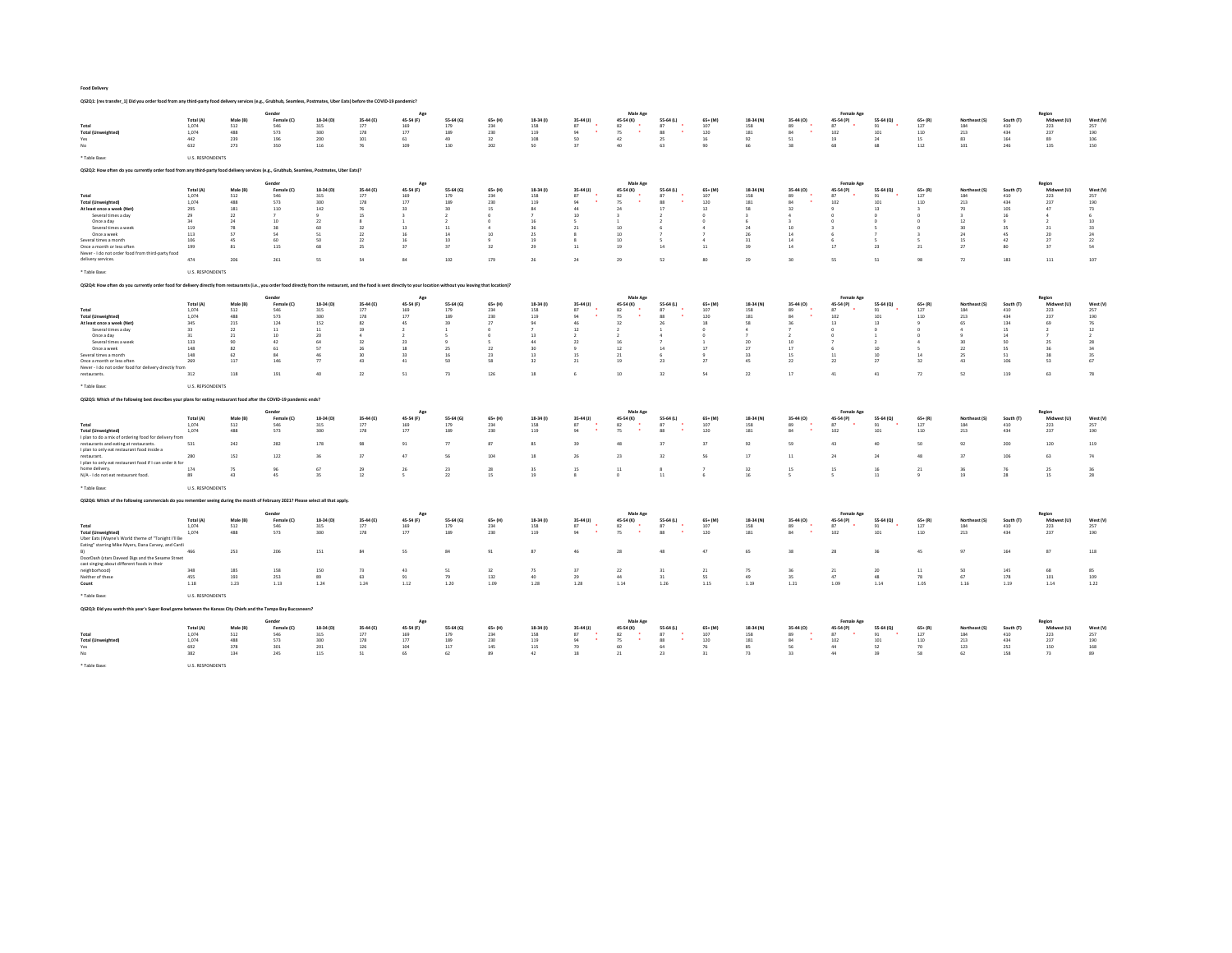QS2Q1: [res transfer\_1] Did you order food from any third-party food delivery services (e.g., Grubhub, Seamless, Postmates, Uber Eats) before the COVID-19 pandemic?

|                                                                                                                                                                                                                            |                         |                 |                   |                  |                    |                  |                  |                   |                       |                          | Male Age         |                 |                  |                  |                         | <b>Female Age</b> |                 |                      |                      |                       | Regio              |                |
|----------------------------------------------------------------------------------------------------------------------------------------------------------------------------------------------------------------------------|-------------------------|-----------------|-------------------|------------------|--------------------|------------------|------------------|-------------------|-----------------------|--------------------------|------------------|-----------------|------------------|------------------|-------------------------|-------------------|-----------------|----------------------|----------------------|-----------------------|--------------------|----------------|
| Total                                                                                                                                                                                                                      | Total (A)<br>1.074      | Male (B)<br>512 | Female (C)<br>546 | 18-34 (D)<br>315 | 35-44 (E)<br>177   | 45-54 (F)<br>169 | 55-64 (G)<br>179 | $65 + (H)$<br>234 | 18-34 (f)<br>158      | 35-44 (J)<br>87          | 45-54 (K)<br>82  | 55-64 (L)<br>87 | $65+ (M)$<br>107 | 18-34 (N)<br>158 | 35-44 (0)<br>89<br>٠    | 45-54 (P)<br>87   | 55-64 (Q)<br>91 | $65 + (R)$<br>127    | Northeast (S)<br>184 | South (T)<br>410      | Midwest (U)<br>222 | West (\<br>257 |
| <b>Total (Unweighted)</b>                                                                                                                                                                                                  | 1,074                   | 488             | 573               | 300              | 178                | 177              | 189              | 230               | 119                   | 94                       | 75               | 88              | 120              | 181              | 84<br>٠                 | 102               | 101             | 110                  | 213                  | 434                   | 237                | 190            |
| Yes<br>No                                                                                                                                                                                                                  | 442<br>632              | 239<br>273      | 196<br>350        | 200<br>116       | 101<br>76          | 61<br>109        | 49<br>130        | 32<br>202         | 108<br>50             | sn<br>27                 | 42<br>40         | 25<br>63        | 16<br>90         | 92<br>66         | 51<br>38                | 19<br>68          | 24<br>68        | 15<br>112            | 83<br>101            | 164<br>246            | 89<br>135          | 106            |
|                                                                                                                                                                                                                            |                         |                 |                   |                  |                    |                  |                  |                   |                       |                          |                  |                 |                  |                  |                         |                   |                 |                      |                      |                       |                    | 150            |
| * Table Base:                                                                                                                                                                                                              | <b>U.S. RESPONDENTS</b> |                 |                   |                  |                    |                  |                  |                   |                       |                          |                  |                 |                  |                  |                         |                   |                 |                      |                      |                       |                    |                |
| Q\$2Q2: How often do you currently order food from any third-party food delivery services (e.g., Grubhub, Seamless, Postmates, Uber Eats)?                                                                                 |                         |                 |                   |                  |                    |                  |                  |                   |                       |                          |                  |                 |                  |                  |                         |                   |                 |                      |                      |                       |                    |                |
|                                                                                                                                                                                                                            |                         |                 | Gender            |                  |                    | Age              |                  |                   |                       |                          | Male Age         |                 |                  |                  |                         | <b>Female Age</b> |                 |                      |                      |                       | Region             |                |
|                                                                                                                                                                                                                            | Total (A)               | Male (B         | Female (C)        | 18-34 (D)        | 35-44 (E)          | 45-54 (F)        | 55-64 (G)        | $65 + (H)$        | 18-34 (1)             | $35-44$ (J)              | 45-54 (K)        | 55-64 (L)       | $65+ (M)$        | 18-34 (N)        | 35-44 (0)               | 45-54 (P)         | 55-64 (Q)       | $65 + (R)$           | Northeast (S)        | South (T              | Midwest (U)        | West (V)       |
| Total                                                                                                                                                                                                                      | 1.074                   | 512             | 546               | 315              | 177                | 169              | 179              | 234               | 158                   | 87                       | 82               | 87              | 107              | 158              | 89                      | 87                | 91              | 127                  | 184                  | 410                   | 223                | 257            |
| <b>Total (Unweighted)</b><br>At least once a week (Net)                                                                                                                                                                    | 1,074<br>295            | 488<br>181      | 573<br>110        | 300<br>142       | 178<br>76          | 177<br>33        | 189<br>30        | 230<br>15.        | 119<br>84             | 94<br>44                 | 75<br>24         | 88<br>17        | 120<br>12        | 181<br>58        | 84<br>32                | 102               | 101<br>13       | 110<br>$\rightarrow$ | 213<br>$70^{\circ}$  | 434<br>105            | 237<br>47          | 190<br>73      |
| Several times a day                                                                                                                                                                                                        | 29                      | 22              | $\overline{z}$    |                  | 15                 |                  |                  | $\Omega$          |                       | 10                       |                  |                 |                  |                  | 4                       |                   |                 |                      |                      |                       | $\Delta$           | 6              |
| Once a day                                                                                                                                                                                                                 | 34                      | 24              | 10                | 22               | $\mathbf{\hat{z}}$ | $\mathbf{1}$     |                  | $\Omega$          | 16                    | к.                       |                  |                 |                  |                  | $\overline{\mathbf{z}}$ | - 6               |                 | n                    | 12                   |                       | $\rightarrow$      | 10             |
| Several times a week                                                                                                                                                                                                       | 119                     | 78              | 38                | 60               | 32                 | 13               | 11               | $\mathcal{A}$     |                       | $^{21}$                  | 10               |                 |                  | 24               | 10 <sup>10</sup>        |                   |                 |                      | 30 <sub>0</sub>      |                       | 21                 | 33             |
| Once a week                                                                                                                                                                                                                | 113                     | 57              | 54                | 51               | 22                 | 16               | 14               | $10$              | 25                    |                          | 10               |                 |                  | 26               | 14                      |                   |                 |                      | 24                   |                       | 20                 | $_{\rm 24}$    |
| Several times a month<br>Once a month or less often                                                                                                                                                                        | 106<br>199              | 45<br>81        | 60<br>115         | 50<br>68         | 22<br>25           | 16<br>37         | 10<br>37         | ۹<br>32           | 19<br>29              | $\mathbf{\hat{z}}$<br>11 | 10<br>19         | 14              | 4<br>11          | 31<br>39         | 14<br>14                | 17                | 23              | 21                   | 15<br>27             | 42<br>80 <sup>1</sup> | 27<br>37           | 22<br>54       |
| Never - I do not order food from third-party food                                                                                                                                                                          |                         |                 |                   |                  |                    |                  |                  |                   |                       |                          |                  |                 |                  |                  |                         |                   |                 |                      |                      |                       |                    |                |
| delivery services.                                                                                                                                                                                                         | 474                     | 206             | 261               | <sub>55</sub>    | SA                 | 84               | 102              | 179               | 26                    | 24                       | 29               | 52              | 80 <sub>1</sub>  | 29               | 30 <sub>1</sub>         | 55                | 51              | QQ                   | 72                   | 183                   | 111                | 107            |
| * Table Base:                                                                                                                                                                                                              | <b>U.S. RESPONDENTS</b> |                 |                   |                  |                    |                  |                  |                   |                       |                          |                  |                 |                  |                  |                         |                   |                 |                      |                      |                       |                    |                |
| Q52Q4: How often do you currently order food for delivery directly from restaurants (i.e., you order food directly from the restaurant, and the food is sent directly to your location without you leaving that location)? |                         |                 |                   |                  |                    |                  |                  |                   |                       |                          |                  |                 |                  |                  |                         |                   |                 |                      |                      |                       |                    |                |
|                                                                                                                                                                                                                            |                         |                 |                   |                  |                    |                  |                  |                   |                       |                          |                  |                 |                  |                  |                         |                   |                 |                      |                      |                       |                    |                |
|                                                                                                                                                                                                                            |                         |                 | Gender            |                  |                    | Ago              |                  |                   |                       |                          | Male Age         |                 |                  |                  |                         | Female Age        |                 |                      |                      |                       | Regio              |                |
|                                                                                                                                                                                                                            | Total (A)               | Male (B         | Female (C)<br>546 | 18-34 (D)        | 35-44 (E)          | 45-54 (F)        | 55-64 (G)        | $65+ (H)$         | 18-34 (1)             | 35-44 (J)<br>87          | 45-54 (K)        | 55-64 (L)<br>87 | $65+$ (M)<br>107 | 18-34 (N)        | 35-44 (0)<br>89         | 45-54 (P)<br>87   | 55-64 (Q)       | $65 + (R)$<br>127    | Northeast (S)<br>184 | South (1<br>410       | Midwest (U)        | West (\<br>257 |
| Total<br><b>Total (Unweighted)</b>                                                                                                                                                                                         | 1.074<br>1,074          | 512<br>488      | 573               | 315<br>300       | 177<br>178         | 169<br>$177\,$   | 179<br>189       | 234<br>230        | 158<br>119            | 94                       | 82<br>75         | 88              | 120              | 158<br>181       | 84                      | 102               | 91<br>$101\,$   | 110                  | 213                  | 434                   | 223<br>237         | 190            |
| At least once a week (Net)                                                                                                                                                                                                 | 345                     | 215             | 124               | 152              | 82                 | 45               | 39               | 27                | qa                    | 46                       | 32               | 26              | 18               | 58               | 36                      | 13                | 13              | ٠q                   | 65                   | 134                   | 69                 | 76             |
| Several times a day                                                                                                                                                                                                        | 33                      | 22              | $11\,$            | 11               | 19                 | $\overline{ }$   |                  | $\Omega$          |                       | 12                       |                  |                 |                  |                  |                         |                   |                 |                      |                      | 15                    |                    | $12\,$         |
| Once a day                                                                                                                                                                                                                 | 31                      | 21              | 10                | 20               | A                  | -2               |                  | $\Omega$          | 13                    |                          |                  |                 |                  |                  |                         | $\Omega$          |                 | n                    |                      | 14                    |                    | $\mathcal{L}$  |
| Several times a week<br>Once a week                                                                                                                                                                                        | 133<br>148              | 90<br>82        | 42<br>61          | 64<br>57         | 32<br>26           | 23<br>18         | 25               | 22                | 44<br>30              | 22                       | 16<br>12         | 14              | 17               | 20<br>27         | 10<br>17                |                   | 10              |                      | 30<br>22             | 50<br><b>CO</b>       | 25<br>36           | 28<br>34       |
| Several times a month                                                                                                                                                                                                      | 148                     | 62              | 84                | 46               | 30                 | 33               | 16               | 23                | 13                    | 15                       | 21               |                 | $\mathbf{Q}$     | 33               | 15                      | 11                | 10              | 14                   | 25                   | 51                    | 38                 | 35             |
| Once a month or less often                                                                                                                                                                                                 | 269                     | 117             | 146               | 77               | 43                 | 41               | 50               | 58                | 32                    | 21                       | 19               | 23              | 27               | 45               | 22                      | 22                | 27              | 32                   | 43                   | 106                   | 53                 | 67             |
| Never - I do not order food for delivery directly from                                                                                                                                                                     |                         |                 |                   |                  |                    |                  |                  |                   |                       |                          |                  |                 |                  |                  |                         |                   |                 |                      |                      |                       |                    |                |
| restaurants.                                                                                                                                                                                                               | 312                     | 118             | 191               | 40               | $\mathcal{D}$      | 51               | 73               | 126               | 18                    | c                        | 10 <sub>10</sub> | 32              | 54               | 22               | 17                      | 41                | 41              | $\mathcal{D}$        | 52                   | 119                   | 63                 | 78             |
| * Table Base:                                                                                                                                                                                                              | <b>U.S. REPSONDENTS</b> |                 |                   |                  |                    |                  |                  |                   |                       |                          |                  |                 |                  |                  |                         |                   |                 |                      |                      |                       |                    |                |
|                                                                                                                                                                                                                            |                         |                 |                   |                  |                    |                  |                  |                   |                       |                          |                  |                 |                  |                  |                         |                   |                 |                      |                      |                       |                    |                |
| Q\$2Q5: Which of the following best describes your plans for eating restaurant food after the COVID-19 pandemic ends?                                                                                                      |                         |                 |                   |                  |                    |                  |                  |                   |                       |                          |                  |                 |                  |                  |                         |                   |                 |                      |                      |                       |                    |                |
|                                                                                                                                                                                                                            |                         |                 | Gender            |                  |                    | Age              |                  |                   |                       |                          | Male Age         |                 |                  |                  |                         | <b>Female Age</b> |                 |                      |                      |                       |                    |                |
|                                                                                                                                                                                                                            | Total (A)               | Male (B)        | Female (C)        | 18-34 (D)        | 35-44 (E)          | 45-54 (F)        | 55-64 (G)        | $65+ (H)$         | 18-34 (1)             | $35-44$ (J)              | 45-54 (K)        | 55-64 (L)       | $65+ (M)$        | 18-34 (N)        | 35-44 (0)               | 45-54 (P)         | 55-64 (Q)       | $65 + (R)$           | Northeast (S)        | South (T              | Midwest (U)        | West (V)       |
| Total                                                                                                                                                                                                                      | 1.074<br>1,074          | 512<br>488      | 546<br>573        | 315<br>300       | 177<br>178         | 169<br>177       | 179<br>189       | 234<br>230        | 158<br>119            | 87<br>$Q_2$              | 82<br>75         | 87<br>88        | 107<br>120       | 158<br>181       | 89<br>94                | 87<br>102         | 91<br>101       | 127<br>110           | 184<br>213           | 410<br>434            | 223<br>237         | 257<br>190     |
| <b>Total (Unweighted)</b><br>I plan to do a mix of ordering food for delivery from                                                                                                                                         |                         |                 |                   |                  |                    |                  |                  |                   |                       |                          |                  |                 |                  |                  |                         |                   |                 |                      |                      |                       |                    |                |
| restaurants and eating at restaurants.                                                                                                                                                                                     | 531                     | 242             | 282               | 178              | 98                 | 91               | 77               | 87                | 85                    | 39                       | 48               | 37              | 37               | 92               | 59                      | 43                | 40              | 50                   | 92                   | 200                   | 120                | 119            |
| I plan to only eat restaurant food inside a                                                                                                                                                                                |                         |                 |                   |                  |                    |                  |                  |                   |                       |                          |                  |                 |                  |                  |                         |                   |                 |                      |                      |                       |                    |                |
| restaurant.                                                                                                                                                                                                                | 280                     | 152             | 122               | 36               | 37                 | 47               | 56               | 104               | 18                    | 26                       | 23               | 32              | 56               | 17               |                         | 24                | 24              | 48                   |                      | 106                   | 63                 | 74             |
| I plan to only eat restaurant food if I can order it for<br>home delivery.                                                                                                                                                 | 174                     | 75              | 96                | 67               | 29                 |                  |                  |                   |                       |                          |                  |                 |                  |                  | 11                      |                   |                 |                      | 37                   |                       |                    |                |
| N/A - I do not eat restaurant food.                                                                                                                                                                                        | 89                      | 43              |                   |                  |                    |                  |                  |                   |                       |                          |                  |                 |                  |                  |                         |                   |                 |                      |                      |                       |                    |                |
|                                                                                                                                                                                                                            |                         |                 | 45                | 35               | 12                 | 26<br>$\sim$     | 23<br>22         | $\bf 28$<br>15    | 35<br>19              | 15<br>$\mathbf{\hat{z}}$ | 11<br>$\Omega$   | 11              | 6                | 32<br>16         | 15<br>$\leq$            | 15                | 16<br>$11\,$    | 21<br>$\ddot{q}$     | 36<br>19             | 28                    | 25                 | 36<br>28       |
|                                                                                                                                                                                                                            |                         |                 |                   |                  |                    |                  |                  |                   |                       |                          |                  |                 |                  |                  |                         |                   |                 |                      |                      |                       | 15                 |                |
| * Table Base:                                                                                                                                                                                                              | <b>U.S. RESPONDENTS</b> |                 |                   |                  |                    |                  |                  |                   |                       |                          |                  |                 |                  |                  |                         |                   |                 |                      |                      |                       |                    |                |
| QS2Q6: Which of the following commercials do you remember seeing during the month of February 2021? Please select all that apply.                                                                                          |                         |                 |                   |                  |                    |                  |                  |                   |                       |                          |                  |                 |                  |                  |                         |                   |                 |                      |                      |                       |                    |                |
|                                                                                                                                                                                                                            |                         |                 | Goode             |                  |                    |                  |                  |                   |                       |                          | Male Age         |                 |                  |                  |                         | <b>Female Ago</b> |                 |                      |                      |                       |                    |                |
|                                                                                                                                                                                                                            | Total (A)               | Male (B)        | Female (C)        | 18-34 (D)        | 35-44 (E)          | 45-54 (F)        | 55-64 (G)        | $65+ (H)$         | 18-34 (1)             | $35-44$ (J)              | 45-54 (K)        | 55-64 (L)       | $65+ (M)$        | 18-34 (N)        | 35-44 (0)               | 45-54 (P)         | 55-64 (Q)       | $65+ (R)$            | Northeast (S)        | South (T)             | Midwest (U)        | West (V)       |
| Total                                                                                                                                                                                                                      | 1.074                   | 512             | 546               | 315              | 177                | 169              | 179              | 234               | 158                   | 87<br>. .                | 82               | 87              | 107              | 158              | 89<br>$\mathbf{r}$      | 87                | 91              | 127                  | 184                  | 410                   | 223                | 257            |
| <b>Total (Unweighted)</b><br>Uber Eats (Wayne's World theme of "Tonight I'll Be                                                                                                                                            | 1,074                   | 488             | 573               | 300              | 178                | $177\,$          | 189              | 230               | 119                   | 94                       | 75               | 88              | 120              | 181              | 84                      | 102               | 101             | 110                  | 213                  | 434                   | 237                | 190            |
| Eating" starring Mike Myers, Dana Carvey, and Cardi                                                                                                                                                                        |                         |                 |                   |                  |                    |                  |                  |                   |                       |                          |                  |                 |                  |                  |                         |                   |                 |                      |                      |                       |                    |                |
|                                                                                                                                                                                                                            | 466                     | 253             | 206               | 151              | 84                 | 55               | 84               | 91                | 87                    | 46                       | 28               | 48              | 47               | 65               | 38                      | 28                | 36              |                      | 97                   | 164                   | 87                 | $118\,$        |
| DoorDash (stars Daveed Digs and the Sesame Street                                                                                                                                                                          |                         |                 |                   |                  |                    |                  |                  |                   |                       |                          |                  |                 |                  |                  |                         |                   |                 |                      |                      |                       |                    |                |
| cast singing about different foods in their<br>neighborhood)                                                                                                                                                               | 348                     | 185             | 158               | 150              | 73                 | 43               | 51               | 32                | 75                    | 37                       | 22               | 31              | 21               | 75               | 36                      | 21                | 20              | 11                   | 50                   | 145                   | 68                 | 85             |
| Neither of these                                                                                                                                                                                                           | 455                     | 193             | 253               | 89               | 63                 | 91               | 79               | 132               | $\Delta$ <sup>0</sup> | $29 -$                   | 44               | 31              | SS.              | 49               | $25 -$                  | 47                | 48              | 78                   | -67                  | 178                   | 101                | 109            |
| Count                                                                                                                                                                                                                      | 1.18                    | 1.23            | 1.13              | 1.24             | 1.24               | 1.12             | 1.20             | 1.09              | 1.28                  | 1.28                     | 1.14             | 1.26            | 1.15             | 1.19             | 1.21                    | 1.09              | 1.14            | 1.05                 | 1.16                 | 1.19                  | 1.14               | 1.22           |
| * Table Base:                                                                                                                                                                                                              |                         |                 |                   |                  |                    |                  |                  |                   |                       |                          |                  |                 |                  |                  |                         |                   |                 |                      |                      |                       |                    |                |
|                                                                                                                                                                                                                            | <b>U.S. RESPONDENTS</b> |                 |                   |                  |                    |                  |                  |                   |                       |                          |                  |                 |                  |                  |                         |                   |                 |                      |                      |                       |                    |                |
| QS2Q3: Did you watch this year's Super Bowl game between the Kansas City Chiefs and the Tampa Bay Buccaneers?                                                                                                              |                         |                 |                   |                  |                    |                  |                  |                   |                       |                          |                  |                 |                  |                  |                         |                   |                 |                      |                      |                       |                    |                |
|                                                                                                                                                                                                                            |                         |                 | Gender            |                  |                    |                  |                  |                   |                       |                          | Male Age         |                 |                  |                  |                         | <b>Female Age</b> |                 |                      |                      |                       | Regio              |                |
| Total                                                                                                                                                                                                                      | Total (A)<br>1,074      | Male (B)<br>512 | Female (C)<br>546 | 18-34 (D)<br>315 | 35-44 (E)<br>177   | 45-54 (F)<br>169 | 55-64 (G)<br>179 | $65+ (H)$<br>234  | 18-34 (1)<br>158      | 35-44 (J)<br>87          | 45-54 (K)<br>82  | 55-64 (L)<br>87 | 65+ (M)<br>107   | 18-34 (N)<br>158 | 35-44 (O)<br>89         | 45-54 (P)<br>87   | 55-64 (Q)<br>91 | $65 + (R)$<br>127    | Northeast (S<br>184  | South (T<br>410       | Midwest (U)<br>223 | West (V<br>257 |
| <b>Total (Unweighted)</b>                                                                                                                                                                                                  | 1.074                   | 488             | 573               | 300              | 178                | 177              | 189              | 230               | 119                   | 94                       | 75               | 88              | 120              | 181              | 94                      | 102               | 101             | 110                  | 213                  | 434                   | 237                | 190            |
| Yes                                                                                                                                                                                                                        | 692                     | 378             | 301               | 201              | 126                | 104              | $117\,$          | 145               | 115                   | 70                       | 60               | 64              | 76               | 85               | 56                      | 44                | 52              | 70                   | 123                  | 252                   | 150                | 168            |
| No                                                                                                                                                                                                                         | 382                     | 134             | 245               | 115              | 51                 | 65               | 62               | 89                | 42                    | 18                       | 21               | 23              | 31               | 73               | 33                      | 44                | 39              | 58                   | 62                   | 158                   | 73                 | 89             |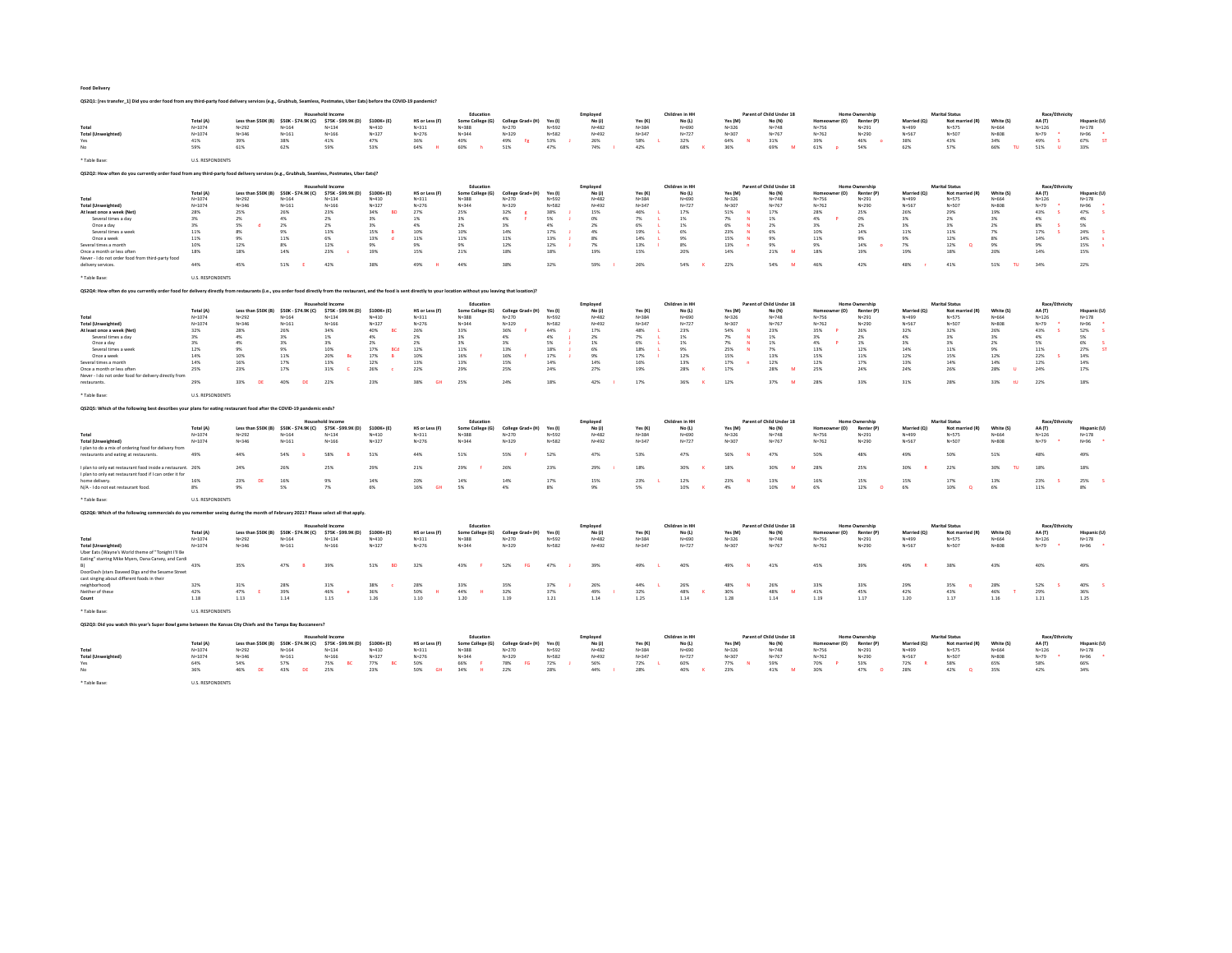QS2Q1: [res transfer\_1] Did you order food from any third-party food delivery services (e.g., Grubhub, Seamless, Postmates, Uber Eats) before the COVID-19 pandemic?

|                                                                                                                                                                                                                            |                         |                                  |                                  | <b>Household Income</b>                 |                        |                             | Education                     |                                |                  | Employer            |                      | Children in HH           |                      |                   | Parent of Child Under 18           |                                  | Home Ownership                      |                          | <b>Marital Status</b>                    |                     | Race/Ethnicity           |                          |
|----------------------------------------------------------------------------------------------------------------------------------------------------------------------------------------------------------------------------|-------------------------|----------------------------------|----------------------------------|-----------------------------------------|------------------------|-----------------------------|-------------------------------|--------------------------------|------------------|---------------------|----------------------|--------------------------|----------------------|-------------------|------------------------------------|----------------------------------|-------------------------------------|--------------------------|------------------------------------------|---------------------|--------------------------|--------------------------|
|                                                                                                                                                                                                                            | <b>Total (A)</b>        | Less than \$50K (B)              | \$50K - \$74.9K (C)              | \$75K - \$99.9K (D)                     | \$100K+(E)             | HS or Less (F)              | Some College (G)              | College Grad+ (H)              | Yes (I           | No (1)              | Yes (K)              | No (1)                   | Yes (M)              |                   | No (N)                             | mer (O)                          | <b>Renter (P)</b>                   | Married (O)              | Not married (R)                          | White (S)           | AA (T)                   | Hispanic (U              |
| Total                                                                                                                                                                                                                      | $N = 1074$              | $N = 292$                        | $N = 164$                        | $N = 134$                               | $N = 410$              | $N = 311$                   | $N = 388$                     | $N = 270$                      | $N = 592$        | $N = 482$           | $N = 384$            | $N = 690$                | $N = 326$            |                   | $N = 748$                          | $N = 756$                        | $N = 291$                           | $N = 499$                | $N = 575$                                | $N = 664$           | $N = 126$                | $N = 178$                |
| <b>Total (Unweighted</b>                                                                                                                                                                                                   | $N = 1074$              | $N = 346$                        | $N = 161$                        | $N = 166$                               | $N = 327$              | $N = 276$                   | $N = 344$                     | $N = 329$                      | $N = 582$        | $N = 492$           | $N = 347$            | $N = 727$                | $N = 307$            |                   | $N = 767$                          | $N = 762$                        | $N = 290$                           | $N = 567$                | $N = 507$                                | $N = 808$           | $N=79$                   | $N = 96$                 |
| Yes                                                                                                                                                                                                                        | 41%                     | <b>39%</b>                       | 38%                              | 41%                                     | 47%                    | 36%                         | 40%                           | 49%<br>-Fg                     | 53%              | 26%                 | 58%                  | 32%                      | 64%                  | $\mathbf{M}$      | 31%                                | 39%                              | 46%                                 | 3.8%                     | 43%                                      | 34%                 | 49%<br>s                 | 67%<br>-91               |
| No                                                                                                                                                                                                                         | 59%                     | 61%                              | 62%                              | 59%                                     | 53%                    | 64%                         | 60%                           | 51%                            | 47%              | 74%                 | 42%                  | 68%                      | 36%                  |                   | 69%                                | 61%                              | 54%                                 | 62%                      | 57%                                      | 66%<br>TU           | 51%<br><b>U</b>          | 33%                      |
| * Table Base:                                                                                                                                                                                                              | <b>U.S. RESPONDENTS</b> |                                  |                                  |                                         |                        |                             |                               |                                |                  |                     |                      |                          |                      |                   |                                    |                                  |                                     |                          |                                          |                     |                          |                          |
| Q\$2Q2: How often do you currently order food from any third-party food delivery services (e.g., Grubhub, Seamless, Postmates, Uber Eats)?                                                                                 |                         |                                  |                                  |                                         |                        |                             |                               |                                |                  |                     |                      |                          |                      |                   |                                    |                                  |                                     |                          |                                          |                     |                          |                          |
|                                                                                                                                                                                                                            |                         |                                  |                                  |                                         |                        |                             |                               |                                |                  |                     |                      |                          |                      |                   |                                    |                                  |                                     |                          |                                          |                     |                          |                          |
|                                                                                                                                                                                                                            | Total (A)               | Less than \$50K (B)              | \$50K - \$74.9K (C)              | Household Income<br>\$75K - \$99.9K (D) | $$100K + (E)$          | <b>HS or Less (F)</b>       | Education<br>Some College (G) | College Grad+ (H)              | Yes (I)          | Employee<br>No(1)   | Yes (K)              | Children in HH<br>No (L) | Yes (M)              |                   | Parent of Child Under 18<br>No (N) | r (0)                            | <b>Home Ownership</b><br>Renter (P) | Married (O)              | <b>Marital Status</b><br>Not married (R) | White (S)           | Race/Ethnicity<br>AA (T) | Hispanic (U              |
| Total                                                                                                                                                                                                                      | $N = 1074$              | $N = 292$                        | $N = 164$                        | $N = 124$                               | $N = 410$              | $N = 211$                   | $N = 2.88$                    | $N = 270$                      | $N = 592$        | $N = 482$           | $N = 3.84$           | $N = 690$                | $N = 326$            |                   | $N = 748$                          | $N = 756$                        | $N = 291$                           | $N = 499$                | $N = 575$                                | $N = 664$           | $N = 126$                | $N=178$                  |
| <b>Total (Unweighted)</b>                                                                                                                                                                                                  | $N = 1074$              | $N = 346$                        | $N = 161$                        | $N = 166$                               | $N = 327$              | $N = 276$                   | $N = 344$                     | $N = 329$                      | $N = 582$        | $N = 492$           | $N = 347$            | $N = 727$                | $N = 307$            |                   | $N = 767$                          | $N = 762$                        | $N = 290$                           | N=567                    | N=507                                    | $N = 808$           | $N = 79$                 | $N = 96$                 |
| At least once a week (Net)                                                                                                                                                                                                 | 28%                     | 25%                              | 26%                              | 23%                                     | 34%<br><b>BD</b>       | 27%                         | 25%                           | 32%                            | 38%              | 15%                 | 46%                  | 17%                      | 51%                  | N                 | 17%                                | 28%                              | 25%                                 | 26%                      | 29%                                      | 19%                 | 43%                      | 47%                      |
| Several times a day                                                                                                                                                                                                        | 3%                      | 2%                               | 4%                               | 2%                                      | 3%                     | 1%                          | 3%                            | 4%                             | 5%               | 0%                  | 7%                   | 1%                       | 7%                   | $\mathbf{M}$      | 1%                                 | 4%                               | 0%                                  | $3\%$                    | 2%                                       | 3%                  | 4%                       | 4%                       |
| Once a day                                                                                                                                                                                                                 | 3%                      | 5%                               | 2%                               | 2%                                      | 3%                     | 4%                          | 2%                            | 3%                             | 4%               | 2%                  | 6%                   | 1%                       | 6%                   | N                 | 2%                                 | 3%                               | 2%                                  | 3%                       | 3%                                       | 2%                  | 8%                       | 5%                       |
| Several times a week<br>Once a week                                                                                                                                                                                        | 11%<br>11%              | 8%<br>9%                         | 9%<br>11%                        | 13%<br>6%                               | 15%<br>13%             | 10%<br>11%                  | 10%<br>11%                    | 14%<br>11%                     | 17%<br>13%       | 4%<br>8%            | 19%<br>14%           | 6%<br>9%                 | 23%<br>15%           | N<br>$\mathbf{N}$ | 6%<br>9%                           | 10%<br>11%                       | 14%<br>9%                           | 11%<br>9%                | 11%<br>12%                               | 7%<br>8%            | 17%<br>14%               | 24%<br>14%               |
| Several times a month                                                                                                                                                                                                      | 10%                     | 12%                              | 8%                               | 12%                                     | 9%                     | 9%                          | 9%                            | 12%                            | 12%              | 7%                  | 13%                  | 8%                       | 13%                  |                   | 9%                                 | 9%                               | 14%                                 | 7%                       | 12%<br>-O                                | 9%                  | 9%                       | 15%                      |
| Once a month or less often                                                                                                                                                                                                 | 18%                     | 18%                              | 14%                              | 23%                                     | 19%                    | 15%                         | 21%                           | 18%                            | 18%              | 19%                 | 15%                  | 20%                      | 14%                  |                   | 21%                                | 18%                              | 19%                                 | 19%                      | 18%                                      | 20%                 | 14%                      | 15%                      |
| Never - I do not order food from third-party food                                                                                                                                                                          |                         |                                  |                                  |                                         |                        |                             |                               |                                |                  |                     |                      |                          |                      |                   |                                    |                                  |                                     |                          |                                          |                     |                          |                          |
| delivery services                                                                                                                                                                                                          | 44%                     | 45%                              | 51%                              | 42%                                     | 38%                    | 49%                         | 44%                           | 38%                            | 32%              | 59%                 | 26%                  | 54%                      | 22%                  |                   | 54%                                | 46%                              | 42%                                 | 48%                      | 41%                                      | 51%<br>TU           | 34%                      | 22%                      |
|                                                                                                                                                                                                                            |                         |                                  |                                  |                                         |                        |                             |                               |                                |                  |                     |                      |                          |                      |                   |                                    |                                  |                                     |                          |                                          |                     |                          |                          |
| * Table Base:                                                                                                                                                                                                              | <b>U.S. RESPONDENTS</b> |                                  |                                  |                                         |                        |                             |                               |                                |                  |                     |                      |                          |                      |                   |                                    |                                  |                                     |                          |                                          |                     |                          |                          |
| QS2Q4: How often do you currently order food for delivery directly from restaurants (i.e., you order food directly from the restaurant, and the food is sent directly to your location without you leaving that location)? |                         |                                  |                                  |                                         |                        |                             |                               |                                |                  |                     |                      |                          |                      |                   |                                    |                                  |                                     |                          |                                          |                     |                          |                          |
|                                                                                                                                                                                                                            |                         |                                  |                                  | <b>Household Income</b>                 |                        |                             | Education                     |                                |                  | Employee            |                      | Children in HH           |                      |                   | Parent of Child Under 18           |                                  | <b>Home Ownership</b>               |                          | <b>Marital Status</b>                    |                     | Race/Ethnicity           |                          |
|                                                                                                                                                                                                                            | <b>Total (A)</b>        | Less than \$50K (B)              | \$50K - \$74.9K (C)              | \$75K - \$99.9K (D)                     | \$100K+(E)             | <b>HS or Less (F)</b>       | Some College (G)              | College Grad+ (H)              | Yes (I           | No(1)               | Yes (K)              | No (L)                   | Yes (M)              |                   | No (N)                             | r (O)                            | Renter (P)                          | Married (O)              | Not man                                  | White (S)           | AA (T)                   | Hispanic (U              |
| Total                                                                                                                                                                                                                      | $N = 1074$              | $N = 292$                        | $N = 164$                        | $N = 134$                               | $N = 410$              | $N = 311$                   | $N = 388$                     | $N = 270$                      | $N = 592$        | $N = 482$           | $N = 384$            | $N = 690$                | $N = 326$            |                   | $N = 748$                          | $N = 756$                        | $N = 291$                           | $N = 499$                | $N = 575$                                | $N = 664$           | $N = 126$                | $N = 178$                |
| <b>Total (Unweighted</b>                                                                                                                                                                                                   | $N = 1074$              | $N = 346$                        | $N = 161$                        | $N = 166$                               | $N = 227$              | $N = 276$                   | $N = 3.44$                    | $N = 229$                      | $N = 582$        | $N = 492$           | $N = 347$            | $N = 727$                | $N = 307$            |                   | $N = 767$                          | $N = 762$                        | $N = 290$                           | $N = 567$                | $N = 507$                                | $N = 80.8$          | $N=79$                   | $N = 96$                 |
| At least once a week (Net)<br>Several times a day                                                                                                                                                                          | 32%<br>3%               | 28%<br>4%                        | 26%<br>3%                        | 34%<br>1%                               | 40%<br>4%              | 26%<br>2%                   | 33%<br>3%                     | 36%<br>4%                      | 44%<br>4%        | 17%<br>2%           | 48%<br>7%            | 23%<br>1%                | 54%<br>7%            | - 64              | 23%<br>1%                          | 35%<br>3%                        | 26%<br>2%                           | 32%<br>4%                | 32%<br>3%                                | 26%<br>3%           | 43%<br>4%                | 52%<br>5%                |
| Once a day                                                                                                                                                                                                                 | 3%                      | 4%                               | 3%                               | 3%                                      | 2 <sup>9</sup>         | 2%                          | 3%                            | 3%                             | 5%               | 1%                  | 6%                   | 1%                       | 7%                   | N                 | 1%                                 | 4%                               | 1%                                  | 3%                       | 2 <sub>N</sub>                           | 2%                  | 5%                       | 6%                       |
| Several times a week                                                                                                                                                                                                       | 12%                     | 9%                               | 9%                               | 10%                                     | BCd<br>17%             | 12%                         | 11%                           | 13%                            | 18%              | 6%                  | 18%                  | 9%                       | 25%                  | N                 | 7%                                 | 13%                              | 12%                                 | 14%                      | 11%                                      | 9%                  | 11%                      | 27%                      |
| Once a week                                                                                                                                                                                                                | 14%                     | 10%                              | 11%                              | 20%<br><b>Bc</b>                        | 17%<br>$\bullet$       | 10%                         | 16%                           | 16%                            | 17%              | 9%                  | 17%                  | 12%                      | 15%                  |                   | 13%                                | 15%                              | 11%                                 | 12%                      | 15%                                      | 12%                 | 22%                      | 14%                      |
| Several times a month                                                                                                                                                                                                      | 14%                     | 16%                              | 17%                              | 13%                                     | 12%                    | 13%                         | 13%                           | 15%                            | 14%              | 14%                 | 16%                  | 13%                      | 17%                  |                   | 12%                                | 12%                              | 17%                                 | 13%                      | 14%                                      | 14%                 | 12%                      | 14%                      |
| Once a month or less often                                                                                                                                                                                                 | 25%                     | 23%                              | 17%                              | 31%                                     | 26%                    | 22%                         | 29%                           | 25%                            | 24%              | 27%                 | 19%                  | 28%                      | 17%                  |                   | 28%<br>14                          | 25%                              | 24%                                 | 24%                      | 26%                                      | 28%<br>- 11         | 24%                      | 17%                      |
| Never - I do not order food for delivery directly fro<br>restaurants                                                                                                                                                       | 29%                     | 33%<br><b>DA</b>                 | 40%<br>DF.                       | 22%                                     | 23%                    | 38%                         |                               | 24%                            |                  | 42%                 |                      | 36%                      | 12%                  |                   |                                    | 28%                              | 33%                                 |                          | 28%                                      | $+11$               |                          | 18%                      |
|                                                                                                                                                                                                                            |                         |                                  |                                  |                                         |                        |                             | 25%                           |                                | 18%              |                     | 17%                  |                          |                      |                   | 37%                                |                                  |                                     | 31%                      |                                          | 33%                 | 22%                      |                          |
| ' Table Base:                                                                                                                                                                                                              | <b>U.S. REPSONDENTS</b> |                                  |                                  |                                         |                        |                             |                               |                                |                  |                     |                      |                          |                      |                   |                                    |                                  |                                     |                          |                                          |                     |                          |                          |
| Q\$2Q5: Which of the following best describes your plans for eating restaurant food after the COVID-19 pandemic ends?                                                                                                      |                         |                                  |                                  |                                         |                        |                             |                               |                                |                  |                     |                      |                          |                      |                   |                                    |                                  |                                     |                          |                                          |                     |                          |                          |
|                                                                                                                                                                                                                            |                         |                                  |                                  | <b>Household Income</b>                 |                        |                             | Education                     |                                |                  | Employed            |                      | Children in HH           |                      |                   | Parent of Child Under 18           |                                  | Home Ownership                      |                          | <b>Marital Status</b>                    |                     | Race/Ethnicity           |                          |
|                                                                                                                                                                                                                            | Total (A)               | Less than \$50K (B)              | \$50K - \$74.9K (C)              | \$75K - \$99.9K (D)                     | \$100K+(E)             | <b>HS or Less (F)</b>       | Some College (G)              | College Grad+ (H)              | Yes (I           | No(1)               | Yes (K)              | No (L)                   | Yes (M)              |                   | No (N)                             | r (O)<br>Home                    | Renter (P)                          | Married (O)              | Not married (R)                          | White (S)           | AA (T)                   | Hispanic (L              |
| Total                                                                                                                                                                                                                      | $N = 1074$              | $N = 292$                        | $N = 164$                        | $N = 124$                               | $N = 410$              | $N = 311$                   | $N = 2.88$                    | $N = 270$                      | $N = 592$        | $N = 482$           | $N = 3.84$           | $N = 690$                | $N = 326$            |                   | $N = 748$                          | $N = 756$                        | $N = 291$                           | $N = 499$                | $N = 575$                                | $N = 664$           | $N = 126$                | $N=178$                  |
| <b>Total (Unweighted)</b>                                                                                                                                                                                                  | $N = 1074$              | N=346                            | $N = 161$                        | $N = 166$                               | $N = 327$              | $N = 276$                   | $N = 344$                     | $N = 329$                      | $N = 582$        | $N = 492$           | $N = 347$            | $N = 727$                | $N = 307$            |                   | $N = 767$                          | $N = 762$                        | $N = 290$                           | N=567                    | $N = 507$                                | $N = 808$           | $N = 79$                 | $N = 96$                 |
| I plan to do a mix of ordering food for delivery from<br>restaurants and eating at restaurants.                                                                                                                            | 49%                     | 44%                              |                                  | 58%                                     | 51%                    | 44%                         | 51%                           | 55%                            | 52%              | 47%                 | 53%                  | 47%                      | 56%                  |                   | 47%                                | 50%                              | 48%                                 | 49%                      | 50%                                      | 51%                 | 48%                      | 49%                      |
|                                                                                                                                                                                                                            |                         |                                  |                                  |                                         |                        |                             |                               |                                |                  |                     |                      |                          |                      |                   |                                    |                                  |                                     |                          |                                          |                     |                          |                          |
| plan to only eat restaurant food inside a restaurant. 26%                                                                                                                                                                  |                         |                                  | 54%                              |                                         |                        |                             |                               |                                |                  |                     |                      |                          |                      |                   |                                    |                                  |                                     |                          |                                          |                     |                          |                          |
|                                                                                                                                                                                                                            |                         | 24%                              | 26%                              | 25%                                     | 29%                    | 21%                         | 29%                           | 26%                            | 23%              | 29%                 | 18%                  | 30%                      | 18%                  |                   | 30%                                | 28%                              | 25%                                 | 30%                      | 22%                                      | 30%                 | 18%                      | 18%                      |
| I plan to only eat restaurant food if I can order it for                                                                                                                                                                   |                         |                                  |                                  |                                         |                        |                             |                               |                                |                  |                     |                      |                          |                      |                   |                                    |                                  |                                     |                          |                                          |                     |                          |                          |
| home delivery.                                                                                                                                                                                                             | 16%                     | 23%<br><b>DF</b>                 | 16%                              | 9%                                      | 14%                    | 20%                         | 14%                           | 14%                            | 17%              | 15%                 | 23%                  | 12%                      | 23%                  | $\mathbf{M}$      | 13%                                | 16%                              | 15%                                 | 15%                      | 17%                                      | 13%                 | 23%                      | 25%                      |
| N/A - I do not eat restaurant food                                                                                                                                                                                         | 8%                      | 9%                               | 5%                               | 7%                                      | 6%                     | 16%<br><b>GH</b>            | 5%                            | 4%                             | 8%               | 9%                  | 5%                   | 10%                      | 4%                   |                   | 10%                                | 6%                               | 12%                                 | 6%                       | 10%<br>$\Omega$                          | 6%                  | 11%                      | $8\%$                    |
| * Table Base:                                                                                                                                                                                                              | <b>U.S. RESPONDENTS</b> |                                  |                                  |                                         |                        |                             |                               |                                |                  |                     |                      |                          |                      |                   |                                    |                                  |                                     |                          |                                          |                     |                          |                          |
|                                                                                                                                                                                                                            |                         |                                  |                                  |                                         |                        |                             |                               |                                |                  |                     |                      |                          |                      |                   |                                    |                                  |                                     |                          |                                          |                     |                          |                          |
| QS2Q6: Which of the following commercials do you remember seeing during the month of February 2021? Please select all that apply.                                                                                          |                         |                                  |                                  |                                         |                        |                             |                               |                                |                  |                     |                      |                          |                      |                   |                                    |                                  |                                     |                          |                                          |                     |                          |                          |
|                                                                                                                                                                                                                            |                         |                                  |                                  | Household Income                        |                        |                             |                               |                                |                  |                     |                      |                          |                      |                   |                                    |                                  |                                     |                          |                                          |                     |                          |                          |
|                                                                                                                                                                                                                            |                         |                                  |                                  | \$75K - \$99.9K (D)                     | \$100K+(E)             |                             | Education                     |                                | Yes (I           | Employed            |                      | Children in HH           |                      |                   | Parent of Child Under 18           | Homes                            | <b>Home Ownership</b><br>Renter (P) | Married (O)              | <b>Marital Status</b><br>Not married (R) | White (S)           | Race/Ethnicity           |                          |
| Total                                                                                                                                                                                                                      | Total (A)<br>$N = 1074$ | Less than \$50K (B)<br>$N = 292$ | \$50K - \$74.9K (C)<br>$N = 164$ | $N = 134$                               | $N = 410$              | HS or Less (F)<br>$N = 311$ | Some College (G)<br>$N = 388$ | College Grad+ (H)<br>$N = 270$ | $N = 592$        | No (J)<br>$N = 482$ | Yes (K)<br>$N = 384$ | No (L)<br>$N = 690$      | Yes (M)<br>$N = 326$ |                   | No (N)<br>$N = 748$                | ner (O)<br>$N = 756$             | $N = 291$                           | $N = 499$                | $N = 575$                                | $N = 664$           | AA (T)<br>$N = 126$      | Hispanic (U<br>$N = 178$ |
| <b>Total (Unweighted)</b>                                                                                                                                                                                                  | $N = 1074$              | $N = 346$                        | $N = 161$                        | $N = 166$                               | $N = 327$              | $N = 276$                   | $N = 344$                     | $N = 329$                      | $N = 582$        | $N = 492$           | $N = 347$            | $N = 727$                | $N = 307$            |                   | $N = 767$                          | $N = 762$                        | $N = 290$                           | N=567                    | N=507                                    | $N = 808$           | $N = 79$                 | $N = 96$                 |
| Uber Eats (Wayne's World theme of "Tonight I'll Be                                                                                                                                                                         |                         |                                  |                                  |                                         |                        |                             |                               |                                |                  |                     |                      |                          |                      |                   |                                    |                                  |                                     |                          |                                          |                     |                          |                          |
| Eating" starring Mike Myers, Dana Carvey, and Cardi                                                                                                                                                                        |                         |                                  |                                  |                                         |                        |                             |                               |                                |                  |                     |                      |                          |                      |                   |                                    |                                  |                                     |                          |                                          |                     |                          |                          |
|                                                                                                                                                                                                                            | 43%                     | 35%                              | 47%                              | 39%                                     | 51%                    | 32%                         | 43%                           | 52%                            | 47%              | 39%                 | 49%                  | 40%                      | 49%                  |                   | 41%                                | 45%                              | 39%                                 | 49%                      | 38%                                      | 43%                 | 40%                      | 49%                      |
| DoorDash (stars Daveed Digs and the Sesame Street                                                                                                                                                                          |                         |                                  |                                  |                                         |                        |                             |                               |                                |                  |                     |                      |                          |                      |                   |                                    |                                  |                                     |                          |                                          |                     |                          |                          |
| cast singing about different foods in their<br>neighborhood                                                                                                                                                                | 32%                     | 31%                              | 28%                              | 31%                                     | 3.8%                   | 28%                         | 33%                           | 35%                            | 37%              | 26%                 | 44%                  | 26%                      | 48%                  | $\mathbf{M}$      | 26%                                | 33%                              | 33%                                 | 29%                      | 35%                                      | 28%                 | 52%                      | 40%                      |
| Neither of these                                                                                                                                                                                                           | 42%                     | 47%<br><b>F</b>                  | 39%                              | 46%                                     | 36%                    | 50%                         | 44%                           | 32%                            | 37%              | 49%                 | 32%                  | 48%                      | 30%                  |                   | 48%<br><b>M</b>                    | 41%                              | 45%                                 | 42%                      | 43%                                      | 46%<br>$\mathbf{r}$ | 29%                      | 36%                      |
| Count                                                                                                                                                                                                                      | 1.18                    | 1.13                             | 1.14                             | 1.15                                    | 1.26                   | 1.10                        | 1.20                          | 1.19                           | 1.21             | 1.14                | 1.25                 | 1.14                     | 1.28                 |                   | 1.14                               | 1.19                             | 1.17                                | 1.20                     | 1.17                                     | 1.16                | 1.21                     | 1.25                     |
|                                                                                                                                                                                                                            |                         |                                  |                                  |                                         |                        |                             |                               |                                |                  |                     |                      |                          |                      |                   |                                    |                                  |                                     |                          |                                          |                     |                          |                          |
| * Table Base:<br>OS2Q3: Did you watch this year's Super Bowl game between the Kansas City Chiefs and the Tampa Bay Buccaneers?                                                                                             | <b>U.S. RESPONDENTS</b> |                                  |                                  |                                         |                        |                             |                               |                                |                  |                     |                      |                          |                      |                   |                                    |                                  |                                     |                          |                                          |                     |                          |                          |
|                                                                                                                                                                                                                            |                         |                                  |                                  |                                         |                        |                             |                               |                                |                  |                     |                      |                          |                      |                   |                                    |                                  |                                     |                          |                                          |                     |                          |                          |
|                                                                                                                                                                                                                            |                         |                                  |                                  | lausehold Income                        |                        |                             | Education                     |                                |                  |                     |                      | Children in HH           |                      |                   | Parent of Child Under 18           |                                  | Home Ownershir                      |                          | <b>Marital Status</b>                    |                     | Race/Ethnicity           |                          |
|                                                                                                                                                                                                                            | Total (A)               | Less than \$50K (B)              | \$50K - \$74.9K (C)              | \$75K - \$99.9K (D)                     | \$100K+(E)             | HS or Less (F)              | Some College (G)              | College Grad+ (H)              | Yes (I)          | No(1)               | Yes (K)              | No (L)                   | Yes (M)              |                   | No (N)                             | Homeowner (O)                    | <b>Renter (P</b>                    | Married (O)              | Not married (R)                          | White (S)           | AA (T)                   | Hispanic (U              |
| Total                                                                                                                                                                                                                      | $N = 1074$              | $N = 292$                        | $N = 164$                        | $N = 124$                               | $N = 410$              | $N = 311$                   | $N = 2.88$                    | $N = 270$                      | $N = 592$        | $N = 482$           | $N = 384$            | $N = 690$                | $N = 326$            |                   | $N = 748$                          | $N = 756$                        | $N = 291$                           | $N = 499$                | $N = 575$                                | $N = 664$           | $N = 126$                | $N=178$                  |
| <b>Total (Unweighted)</b><br>Yes:                                                                                                                                                                                          | $N = 1074$<br>64%       | $N = 346$<br>54%                 | $N = 161$<br>5.7%                | $N = 166$<br>-RC<br>75%                 | $N = 327$<br>77%<br>BC | $N = 276$<br>50%            | $N = 344$<br>66%<br>- 6       | $N = 329$<br>78%<br><b>FG</b>  | $N = 582$<br>72% | $N = 492$<br>56%    | $N = 347$<br>72%     | $N = 727$<br>60%         | $N = 307$<br>77%     | N                 | $N = 767$<br>59%                   | $N = 762$<br>70%<br>$\mathbf{P}$ | $N = 290$<br>53%                    | N=567<br>72%<br><b>R</b> | N=507<br>58%                             | $N = 808$<br>65%    | $N = 79$<br>58%          | $N = 96$<br>66%          |
| No                                                                                                                                                                                                                         | 36%                     | 46%<br>DE                        | 43%<br>DE                        | 25%                                     | 23%                    | 50%<br><b>GH</b>            | 34%<br>$\mathbf{u}$           | 22%                            | 28%              | 44%                 | 28%                  | 40%                      | 23%                  |                   | 41%<br><b>M</b>                    | 30%                              | 47%<br>$\Omega$                     | 28%                      | 42%<br>$\alpha$                          | 35%                 | 42%                      | 34%                      |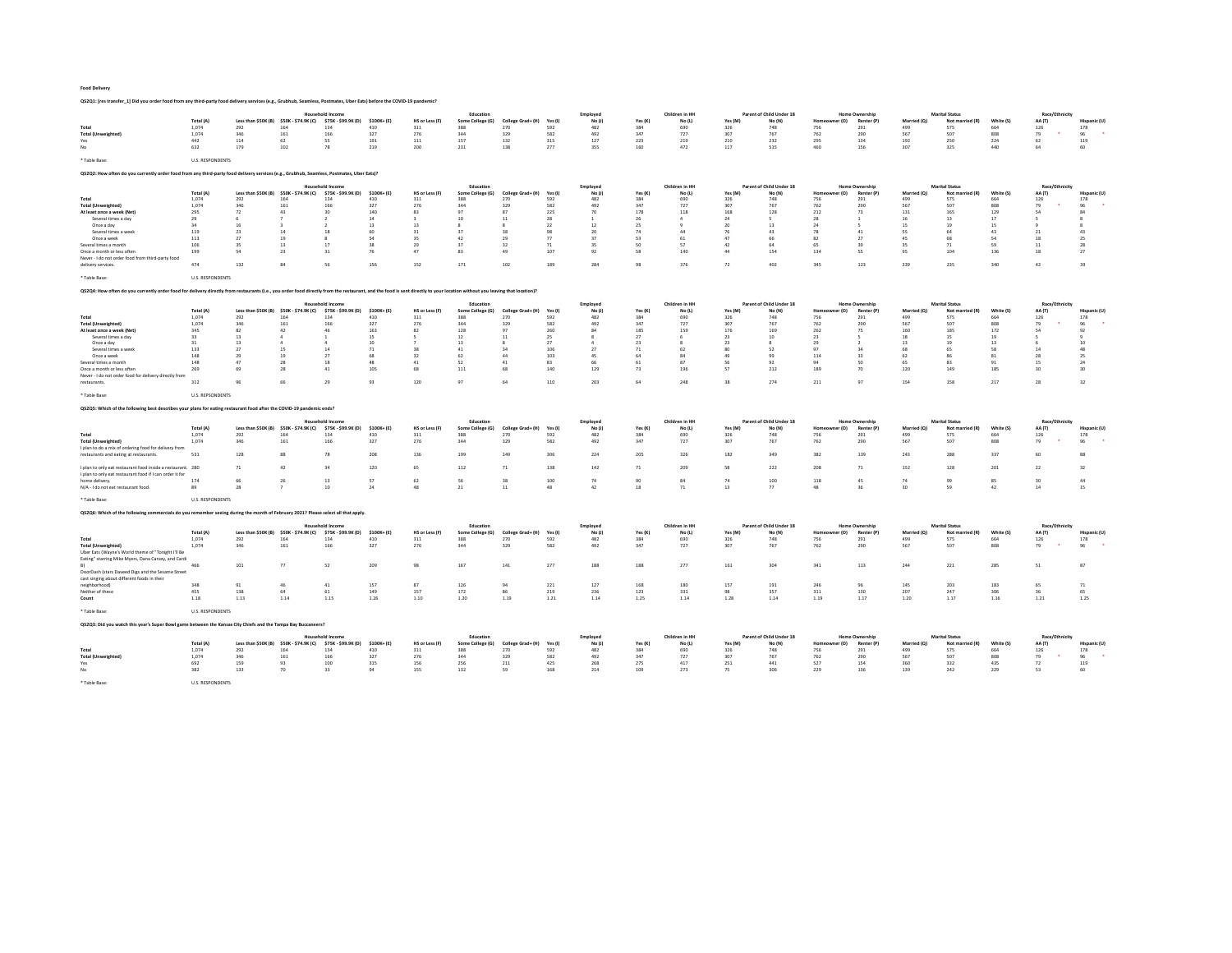QS2Q1: [res transfer\_1] Did you order food from any third-party food delivery services (e.g., Grubhub, Seamless, Postmates, Uber Eats) before the COVID-19 pandemic?

|                                                                                                                                                                                                                             |                         |                                         |                                                                    | <b>Household Income</b>                        |                   |                       | Education                     |                          |                | Employed           |                | Children in HH           |                | Parent of Child Under 18           |                      | <b>Home Ownership</b>               |                    | <b>Marital Status</b>                    |                  | Race/Ethnicity           |                    |
|-----------------------------------------------------------------------------------------------------------------------------------------------------------------------------------------------------------------------------|-------------------------|-----------------------------------------|--------------------------------------------------------------------|------------------------------------------------|-------------------|-----------------------|-------------------------------|--------------------------|----------------|--------------------|----------------|--------------------------|----------------|------------------------------------|----------------------|-------------------------------------|--------------------|------------------------------------------|------------------|--------------------------|--------------------|
|                                                                                                                                                                                                                             | Total (A)               |                                         | Less than \$50K (B) \$50K - \$74.9K (C) \$75K - \$99.9K (D)        |                                                | \$100K+(E)        | HS or Less (F)        | Some College (G)              | College Grad+ (H)        | Yes (I)        | No (J)             | Yes (K)        | No (L)                   | Yes (M)        | No (N)                             | er (O)               | Renter (P)                          | Married (O)        | Not married (R)                          | White (S)        | AA (T)                   | Hispanic (I        |
| Total                                                                                                                                                                                                                       | 1.074                   | 292                                     | 164                                                                | 134                                            | 410               | 311                   | 388                           | 270                      | 592            | 482                | 384            | 690                      | 326            | 748                                | 756                  | 291                                 | 499                | 575                                      | 664              | 126                      | 178                |
| <b>Total (Unweighted)</b><br>Yes                                                                                                                                                                                            | 1,074<br>442            | 346<br>114                              | 161<br>62                                                          | 166<br>SS <sub>1</sub>                         | 327<br>191        | 276<br>111            | 344<br>157                    | 329<br>132               | 582<br>315     | 492<br>127         | 347<br>223     | 727<br>219               | 307<br>210     | 767<br>232                         | 762<br>295           | 290<br>134                          | 567<br>192         | 507<br>250                               | 808<br>224       | 79<br>62                 | 96<br>119          |
| No                                                                                                                                                                                                                          | 632                     | 179                                     | 102                                                                | 78                                             | 219               | 200                   | 231                           | 138                      | 277            | 355                | 160            | 472                      | 117            | 515                                | 460                  | 156                                 | 307                | 325                                      | 440              | 64                       | 60                 |
|                                                                                                                                                                                                                             |                         |                                         |                                                                    |                                                |                   |                       |                               |                          |                |                    |                |                          |                |                                    |                      |                                     |                    |                                          |                  |                          |                    |
| * Table Base:                                                                                                                                                                                                               | <b>U.S. RESPONDENTS</b> |                                         |                                                                    |                                                |                   |                       |                               |                          |                |                    |                |                          |                |                                    |                      |                                     |                    |                                          |                  |                          |                    |
| Q\$2Q2: How often do you currently order food from any third-party food delivery services (e.g., Grubhub, Seamless, Postmates, Uber Eats)?                                                                                  |                         |                                         |                                                                    |                                                |                   |                       |                               |                          |                |                    |                |                          |                |                                    |                      |                                     |                    |                                          |                  |                          |                    |
|                                                                                                                                                                                                                             |                         |                                         |                                                                    |                                                |                   |                       |                               |                          |                |                    |                |                          |                |                                    |                      |                                     |                    |                                          |                  |                          |                    |
|                                                                                                                                                                                                                             | Total (A)               |                                         | Less than \$50K (B) \$50K - \$74.9K (C)                            | <b>Household Income</b><br>\$75K - \$99.9K (D) | \$100K+(E)        | HS or Less (F)        | Education<br>Some College (G) | College Grad+ (H)        | Yes (I)        | Employed<br>No(1)  | Yes (K)        | Children in HH<br>No (L) | Yes (M)        | Parent of Child Under 18<br>No (N) | r (O)                | <b>Home Ownership</b><br>Renter (P) | Married (O)        | <b>Marital Status</b><br>Not married (R) | White (S)        | Race/Ethnicity<br>AA (T) | Hispanic (L        |
| Total                                                                                                                                                                                                                       | 1.074                   | 292                                     | 164                                                                | 134                                            | 410               | 311                   | 388                           | 270                      | 592            | 482                | 384            | 690                      | 326            | 748                                | 756                  | 291                                 | 499                | 575                                      | 664              | 126                      | 178                |
| <b>Total (Unweighted)</b>                                                                                                                                                                                                   | 1,074                   | 346                                     | 161                                                                | 166                                            | 327               | 276                   | 344                           | 329                      | 582            | 492                | 347            | 727                      | 307            | 767                                | 762                  | 290                                 | 567                | 507                                      | 808              | 79                       | 96                 |
| At least once a week (Net)                                                                                                                                                                                                  | 295                     | 72                                      | 43                                                                 | 20                                             | 140               | 83                    | 97                            | 87                       | 225            | 70                 | 178            | 118                      | 168            | 128                                | 212                  | 73                                  | 131                | 165                                      | 129              | S4                       | 84                 |
| Several times a day                                                                                                                                                                                                         | 29                      |                                         |                                                                    |                                                | 14                |                       | 10 <sub>1</sub>               | 11                       | 28             |                    | 26             |                          | 24             |                                    | 28                   |                                     | 16                 | 13                                       | 17               |                          |                    |
| Once a day                                                                                                                                                                                                                  | 34                      | 16                                      |                                                                    | $\overline{ }$                                 | 13                | 13                    |                               | R                        | 22             | 12                 | 25             |                          | 20             | 13                                 | 24                   | ×,                                  | 15                 | 19                                       | 15               |                          | я                  |
| Several times a week                                                                                                                                                                                                        | 119                     | 23<br>27                                | 14<br>19                                                           | 18                                             | 60                | 31                    | 37<br>42                      | 38<br>29                 | 98<br>77       | 20<br>37           | 74<br>53       | 44<br>61                 | 76<br>47       | 43<br>66                           | 78<br>82             | 41<br>27                            | SS.<br>45          | 64                                       | 43<br>54         | 21<br>18                 | 43                 |
| Once a week<br>Several times a month                                                                                                                                                                                        | 113<br>106              | 35                                      | 13                                                                 | 17                                             | 38                | 35<br>29              | 37                            | 32                       | 71             | 25                 | 50             | 57                       | 42             | 64                                 | 65                   | 39                                  | -25                | 71                                       | 59               | 11                       | 25<br>28           |
| Once a month or less often                                                                                                                                                                                                  | 199                     | 54                                      | 23                                                                 | 31                                             | 76                | 47                    | 83                            | 49                       | 107            | 92                 | 58             | 140                      | 44             | 154                                | 134                  | 55                                  | 95                 | 104                                      | 136              | 18                       | 27                 |
| Never - I do not order food from third-party food                                                                                                                                                                           |                         |                                         |                                                                    |                                                |                   |                       |                               |                          |                |                    |                |                          |                |                                    |                      |                                     |                    |                                          |                  |                          |                    |
| delivery services.                                                                                                                                                                                                          | 474                     | 132                                     | 84                                                                 | 56                                             | 156               | 152                   | 171                           | 102                      | 189            | 284                | 98             | 376                      | 72             | 402                                | 345                  | 123                                 | 239                | 235                                      | 340              | 42                       | 39                 |
|                                                                                                                                                                                                                             |                         |                                         |                                                                    |                                                |                   |                       |                               |                          |                |                    |                |                          |                |                                    |                      |                                     |                    |                                          |                  |                          |                    |
| * Table Base:                                                                                                                                                                                                               | <b>U.S. RESPONDENTS</b> |                                         |                                                                    |                                                |                   |                       |                               |                          |                |                    |                |                          |                |                                    |                      |                                     |                    |                                          |                  |                          |                    |
| Q\$2Q4: How often do you currently order food for delivery directly from restaurants (i.e., you order food directly from the restaurant, and the food is sent directly to your location without you leaving that location)? |                         |                                         |                                                                    |                                                |                   |                       |                               |                          |                |                    |                |                          |                |                                    |                      |                                     |                    |                                          |                  |                          |                    |
|                                                                                                                                                                                                                             |                         |                                         |                                                                    |                                                |                   |                       |                               |                          |                |                    |                |                          |                |                                    |                      |                                     |                    |                                          |                  |                          |                    |
|                                                                                                                                                                                                                             | Total (A)               |                                         | Less than \$50K (B) \$50K - \$74.9K (C)                            | <b>Household Income</b><br>\$75K - \$99.9K (D) | \$100K+(E)        | HS or Less (F)        | Education<br>Some College (G) | College Grad+ (H)        | Yes (I)        | Employed<br>No(1)  | Yes (K)        | Children in HH<br>No (L) | Yes (M)        | Parent of Child Under 18<br>No (N) | r (O)                | Home Ownership<br>Renter (F         | Married            | <b>Marital Status</b><br>Not may         |                  | Race/Ethnicity<br>AA (T) | Hispanic           |
| Total                                                                                                                                                                                                                       | 1.074                   | 292                                     | 164                                                                | 134                                            | 410               | 311                   | 388                           | 270                      | 592            | 482                | 384            | 690                      | 326            | 748                                | 756                  | 291                                 | 499                | 575                                      | 664              | 126                      | 178                |
| <b>Total (Unweighted)</b>                                                                                                                                                                                                   | 1,074                   | 346                                     | 161                                                                | 166                                            | 327               | 276                   | 344                           | 329                      | 582            | 492                | 347            | 727                      | 307            | 767                                | 762                  | 290                                 | 567                | 507                                      | 808              | 79                       | 96                 |
| At least once a week (Net)                                                                                                                                                                                                  | 345                     | 82                                      | 42                                                                 | 46                                             | 163               | 82                    | 128                           | 97                       | 260            | 84                 | 185            | 159                      | 176            | 169                                | 262                  | 75                                  | 160                | 185                                      | 172              | 54                       | 92                 |
| Several times a day                                                                                                                                                                                                         | 33                      | 13                                      |                                                                    |                                                | 15                |                       | 12                            | 11                       | 25             |                    | 27             |                          | 23             | 10                                 | 23                   |                                     | 18                 | 15                                       | 19               |                          |                    |
| Once a day                                                                                                                                                                                                                  | 31                      | 13                                      |                                                                    | $\Delta$                                       | 10                |                       | 13                            | R                        | 27             |                    | 23             |                          | 23             |                                    | 29                   |                                     | 13                 | 19                                       | 13               |                          | $10\,$             |
| Several times a weel                                                                                                                                                                                                        | 133                     | 27                                      | 15                                                                 | 14                                             | 71                | 38                    | $41\,$                        | 34                       | 106            | 27                 | 71             | 62                       | 80             | 52                                 | 97                   | 34                                  | 68                 | 65                                       | 58               | 14                       | 48                 |
| Once a week                                                                                                                                                                                                                 | 148                     | -29                                     | 19                                                                 | 27                                             | 68                | 32                    | 62                            | 44                       | 103            | 45                 | 64             | 84                       | 49             | 99                                 | 114                  | 33                                  | 62                 | 86                                       | 81               | 28                       | 25                 |
| Several times a month<br>Once a month or less often                                                                                                                                                                         | 148<br>269              | 47<br>69                                | 28<br>28                                                           | 18<br>41                                       | 48<br>105         | 41<br>68              | 52<br>111                     | 41<br>68                 | 83<br>140      | 66<br>129          | 61<br>73       | 87<br>196                | 56<br>57       | 92<br>212                          | 94<br>189            | 50<br>70                            | 65<br>120          | 83<br>149                                | 91<br>185        | 15<br>30                 | 24<br>30           |
| Never - I do not order food for delivery directly from                                                                                                                                                                      |                         |                                         |                                                                    |                                                |                   |                       |                               |                          |                |                    |                |                          |                |                                    |                      |                                     |                    |                                          |                  |                          |                    |
| restaurants.                                                                                                                                                                                                                | 312                     |                                         |                                                                    | 29                                             | 93                | 120                   | 97                            | 64                       | 110            | 203                | 64             | 248                      | 38             | 274                                | 211                  | 97                                  | 154                | 158                                      | 217              | 28                       | 32                 |
|                                                                                                                                                                                                                             |                         |                                         |                                                                    |                                                |                   |                       |                               |                          |                |                    |                |                          |                |                                    |                      |                                     |                    |                                          |                  |                          |                    |
| Table Base:                                                                                                                                                                                                                 | <b>U.S. REPSONDENTS</b> |                                         |                                                                    |                                                |                   |                       |                               |                          |                |                    |                |                          |                |                                    |                      |                                     |                    |                                          |                  |                          |                    |
|                                                                                                                                                                                                                             |                         |                                         |                                                                    |                                                |                   |                       |                               |                          |                |                    |                |                          |                |                                    |                      |                                     |                    |                                          |                  |                          |                    |
| QS2Q5: Which of the following best describes your plans for eating restaurant food after the COVID-19 pandemic ends?                                                                                                        |                         |                                         |                                                                    |                                                |                   |                       |                               |                          |                |                    |                |                          |                |                                    |                      |                                     |                    |                                          |                  |                          |                    |
|                                                                                                                                                                                                                             |                         |                                         |                                                                    | Household Income                               |                   |                       |                               |                          |                |                    |                |                          |                |                                    |                      | <b>Home Ownership</b>               |                    |                                          |                  |                          |                    |
|                                                                                                                                                                                                                             | Total (A)               | Less than \$50K (B) \$50K - \$74.9K (C) |                                                                    | \$75K - \$99.9K (D)                            | \$100K+(E)        | HS or Less (F)        | Education<br>Some College (G) | College Grad+ (H)        | Yes (I)        | Employed<br>No (J) | Yes (K)        | Children in HH<br>No (L) | Yes (M)        | Parent of Child Under 18<br>No (N) | (n)                  | Renter (P)                          | Married            | <b>Marital Status</b><br>Not married (R) | White (S)        | Race/Ethnicity<br>AA (T) | Hispanic (U        |
| Total                                                                                                                                                                                                                       | 1.074                   | 292                                     | 164                                                                | 134                                            | 410               | 311                   | 388                           | 270                      | 592            | 482                | 384            | 690                      | 326            | 748                                | 756                  | 291                                 | 499                | 575                                      | 664              | 126                      | 178                |
| <b>Total (Unweighted)</b>                                                                                                                                                                                                   | 1,074                   | 346                                     | 161                                                                | 166                                            | 327               | 276                   | 344                           | 329                      | 582            | 492                | 347            | 727                      | 307            | 767                                | 762                  | 290                                 | 567                | 507                                      | 808              | 79                       | 96                 |
| I plan to do a mix of ordering food for delivery from                                                                                                                                                                       |                         |                                         |                                                                    |                                                |                   |                       |                               |                          |                |                    |                |                          |                |                                    |                      |                                     |                    |                                          |                  |                          |                    |
| restaurants and eating at restaurants.                                                                                                                                                                                      | 531                     | 128                                     | 88                                                                 | 78                                             | 208               | 136                   | 199                           | 149                      | 306            | 224                | 205            | 326                      | 182            | 349                                | 382                  | 139                                 | 243                | 288                                      | 337              | 60                       | 88                 |
|                                                                                                                                                                                                                             |                         |                                         |                                                                    |                                                |                   |                       |                               |                          |                |                    |                |                          |                |                                    |                      |                                     |                    |                                          |                  |                          |                    |
| I plan to only eat restaurant food inside a restaurant. 280<br>I plan to only eat restaurant food if I can order it for                                                                                                     |                         | 71                                      | 42                                                                 | 34                                             | 120               | 65                    | 112                           | $71\,$                   | 138            | 142                | 71             | 209                      | 58             | 222                                | 208                  | 71                                  | 152                | 128                                      | 201              | 22                       | 32                 |
| home delivery.                                                                                                                                                                                                              | 174                     | 66                                      | 26                                                                 | 13                                             | 57                | 62                    | 56                            | 38                       | 100            | 74                 | 90             | 84                       | 74             | 100                                | 118                  | 45                                  | 74                 | 99                                       | 85               | 30                       | 44                 |
| N/A - I do not eat restaurant food                                                                                                                                                                                          | 89                      | 28                                      |                                                                    | 10                                             | 24                | 48                    | 21                            | 11                       | 48             | 42                 | 18             | 71                       | 13             | 77                                 | 48                   | 36                                  | 30                 | 59                                       | 42               | 14                       | 15                 |
|                                                                                                                                                                                                                             |                         |                                         |                                                                    |                                                |                   |                       |                               |                          |                |                    |                |                          |                |                                    |                      |                                     |                    |                                          |                  |                          |                    |
| * Table Base:                                                                                                                                                                                                               | <b>U.S. RESPONDENTS</b> |                                         |                                                                    |                                                |                   |                       |                               |                          |                |                    |                |                          |                |                                    |                      |                                     |                    |                                          |                  |                          |                    |
| QS2Q6: Which of the following commercials do you remember seeing during the month of February 2021? Please select all that apply.                                                                                           |                         |                                         |                                                                    |                                                |                   |                       |                               |                          |                |                    |                |                          |                |                                    |                      |                                     |                    |                                          |                  |                          |                    |
|                                                                                                                                                                                                                             |                         |                                         |                                                                    |                                                |                   |                       |                               |                          |                |                    |                |                          |                |                                    |                      |                                     |                    |                                          |                  |                          |                    |
|                                                                                                                                                                                                                             |                         |                                         |                                                                    | Household Income                               |                   |                       | Education                     |                          |                | Employed           |                | Children in HH           |                | Parent of Child Under 18           |                      | <b>Home Ownership</b>               |                    | <b>Marital Status</b>                    |                  | Race/Ethnicity           |                    |
| Total                                                                                                                                                                                                                       | <b>Total (A)</b>        | Less than \$50K (B)                     | \$50K - \$74.9K (C)                                                | \$75K - \$99.9K (D)                            | $$100K + (E)$     | HS or Less (F)        | Some College (G)              | College Grad+ (H)        | Yes (I)        | No(1)              | Yes (K)<br>384 | No (L)                   | Yes (M)        | No (N)                             | er (O)<br>Home       | Renter (P)                          | Married (Q)        | Not married (R)                          | White (S)        | AA (T)                   | Hispanic (U        |
|                                                                                                                                                                                                                             | 1.074                   | 292                                     | 164                                                                | 134                                            | 410               | 311                   | 388                           | 270                      | 592            | 482                |                | 690                      | 326            | 748                                | 756                  | 291                                 | 499                | 575                                      | 664              | 126                      | 178                |
| <b>Total (Unweighted)</b>                                                                                                                                                                                                   | 1.074                   | 346                                     | 161                                                                | 166                                            | 327               | 276                   | 344                           | 329                      | 582            | 492                | 347            | 727                      | 307            | 767                                | 762                  | 290                                 | 567                | 507                                      | 808              | 79                       | 96                 |
| Uber Eats (Wayne's World theme of "Tonight I'll Be<br>Eating" starring Mike Myers, Dana Carvey, and Cardi                                                                                                                   |                         |                                         |                                                                    |                                                |                   |                       |                               |                          |                |                    |                |                          |                |                                    |                      |                                     |                    |                                          |                  |                          |                    |
|                                                                                                                                                                                                                             | 466                     | 101                                     | 77                                                                 | 52                                             | 209               | 98                    | 167                           | 141                      | 277            | 188                | 188            | 277                      | 161            | 304                                | 341                  | 113                                 | 244                | 221                                      | 285              | 51                       | 87                 |
| DoorDash (stars Daveed Digs and the Sesame Street                                                                                                                                                                           |                         |                                         |                                                                    |                                                |                   |                       |                               |                          |                |                    |                |                          |                |                                    |                      |                                     |                    |                                          |                  |                          |                    |
| cast singing about different foods in their                                                                                                                                                                                 |                         |                                         |                                                                    |                                                |                   |                       |                               |                          |                |                    |                |                          |                |                                    |                      |                                     |                    |                                          |                  |                          |                    |
| neighborhood)<br>Neither of these                                                                                                                                                                                           | 348<br>455              | 91<br>138                               | 46<br>64                                                           | 41<br>61                                       | 157<br>149        | 87<br>157             | 126<br>172                    | 94<br>86                 | 221<br>219     | 127<br>236         | 168<br>123     | 180<br>331               | 157<br>98      | 191<br>357                         | 246<br>311           | 96<br>130                           | 145<br>207         | 203<br>247                               | 183<br>306       | 65<br>36                 | 71<br>65           |
|                                                                                                                                                                                                                             |                         |                                         |                                                                    |                                                |                   |                       |                               |                          |                |                    |                |                          |                |                                    |                      |                                     |                    |                                          |                  |                          |                    |
| Count                                                                                                                                                                                                                       | 1.18                    | 1.13                                    | 1.14                                                               | 1.15                                           | 1.26              | 1.10                  | 1.20                          | 1.19                     | 1.21           | 1.14               | 1.25           | 1.14                     | 1.28           | 1.14                               | 1.19                 | 1.17                                | 1.20               | 1.17                                     | 1.16             | 1.21                     | 1.25               |
| * Table Base:                                                                                                                                                                                                               | <b>U.S. RESPONDENTS</b> |                                         |                                                                    |                                                |                   |                       |                               |                          |                |                    |                |                          |                |                                    |                      |                                     |                    |                                          |                  |                          |                    |
| QS2Q3: Did you watch this year's Super Bowl game between the Kansas City Chiefs and the Tampa Bay Buccaneers?                                                                                                               |                         |                                         |                                                                    |                                                |                   |                       |                               |                          |                |                    |                |                          |                |                                    |                      |                                     |                    |                                          |                  |                          |                    |
|                                                                                                                                                                                                                             |                         |                                         |                                                                    | Household Income                               |                   |                       | Education                     |                          |                | <b>Employed</b>    |                | Children in HH           |                | Parent of Child Under 18           |                      | Home Ownership                      |                    | <b>Marital Status</b>                    |                  |                          |                    |
|                                                                                                                                                                                                                             |                         |                                         |                                                                    |                                                |                   |                       |                               |                          |                |                    |                |                          |                |                                    |                      |                                     |                    |                                          |                  | Race/Ethnicity           |                    |
| Total                                                                                                                                                                                                                       | Total (A)<br>1.074      | 292                                     | Less than \$50K (B) \$50K - \$74.9K (C) \$75K - \$99.9K (D)<br>164 | 134                                            | \$100K+(E)<br>410 | HS or Less (F)<br>311 | Some College (G)<br>388       | College Grad+ (H)<br>270 | Yes (I)<br>592 | No (J)<br>482      | Yes (K)<br>384 | No (L)<br>690            | Yes (M)<br>326 | No (N)<br>748                      | r (O)<br>Home<br>756 | Renter (P)<br>291                   | Married (Q)<br>499 | Not married (R)<br>575                   | White (S)<br>664 | AA (T)<br>126            | Hispanic (U<br>178 |
| <b>Total (Unweighted)</b>                                                                                                                                                                                                   | 1,074                   | 346                                     | 161                                                                | 166                                            | 327               | 276                   | 344                           | 329                      | 582            | 492                | 347            | 727                      | 307            | 767                                | 762                  | 290                                 | 567                | 507                                      | 808              | 79                       | 96                 |
| Yes<br>No                                                                                                                                                                                                                   | 692<br>382              | 159<br>133                              | 93<br>70                                                           | 100<br>33                                      | 315<br>94         | 156<br>155            | 256<br>132                    | 211<br>59                | 425<br>168     | 268<br>214         | 275<br>109     | 417<br>273               | 251<br>75      | 441<br>306                         | 527<br>229           | 154<br>136                          | 360<br>139         | 332<br>242                               | 435<br>229       | 72<br>53                 | 119<br>60          |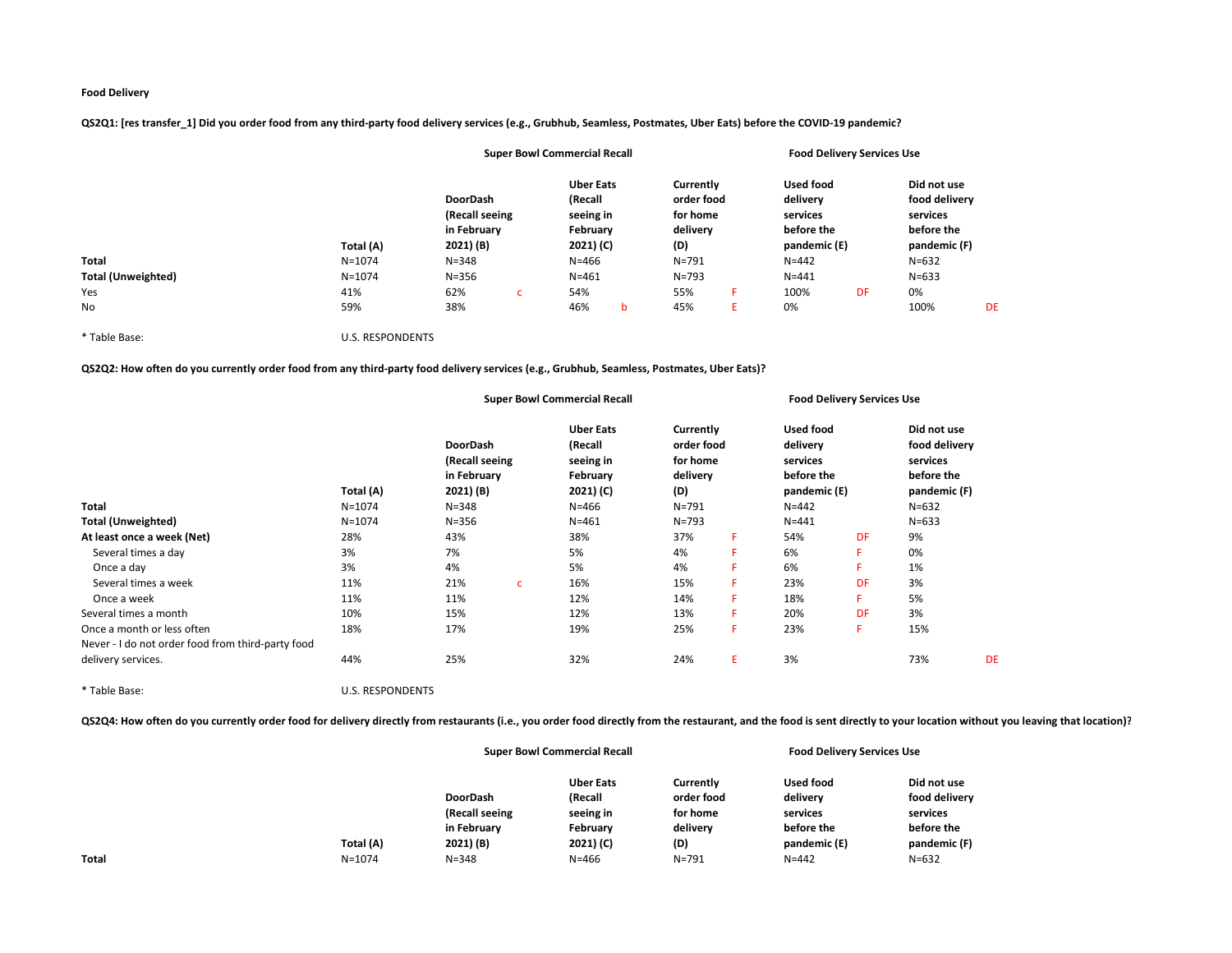|                           |                         |                                                               |   | <b>Super Bowl Commercial Recall</b>                               |   |                                                        |    |                                                                        | <b>Food Delivery Services Use</b> |                                                                        |    |
|---------------------------|-------------------------|---------------------------------------------------------------|---|-------------------------------------------------------------------|---|--------------------------------------------------------|----|------------------------------------------------------------------------|-----------------------------------|------------------------------------------------------------------------|----|
|                           | Total (A)               | <b>DoorDash</b><br>(Recall seeing<br>in February<br>2021) (B) |   | <b>Uber Eats</b><br>(Recall<br>seeing in<br>February<br>2021) (C) |   | Currently<br>order food<br>for home<br>delivery<br>(D) |    | <b>Used food</b><br>delivery<br>services<br>before the<br>pandemic (E) |                                   | Did not use<br>food delivery<br>services<br>before the<br>pandemic (F) |    |
| Total                     | $N = 1074$              | $N = 348$                                                     |   | $N = 466$                                                         |   | $N = 791$                                              |    | $N = 442$                                                              |                                   | $N = 632$                                                              |    |
| <b>Total (Unweighted)</b> | $N = 1074$              | $N = 356$                                                     |   | $N = 461$                                                         |   | $N = 793$                                              |    | $N = 441$                                                              |                                   | $N = 633$                                                              |    |
| Yes                       | 41%                     | 62%                                                           | C | 54%                                                               |   | 55%                                                    |    | 100%                                                                   | DF                                | 0%                                                                     |    |
| No                        | 59%                     | 38%                                                           |   | 46%                                                               | b | 45%                                                    | E. | 0%                                                                     |                                   | 100%                                                                   | DE |
| * Table Base:             | <b>U.S. RESPONDENTS</b> |                                                               |   |                                                                   |   |                                                        |    |                                                                        |                                   |                                                                        |    |

QS2Q1: [res transfer\_1] Did you order food from any third-party food delivery services (e.g., Grubhub, Seamless, Postmates, Uber Eats) before the COVID-19 pandemic?

QS2Q2: How often do you currently order food from any third-party food delivery services (e.g., Grubhub, Seamless, Postmates, Uber Eats)?

|                                                   |                         |                                                                     |              | <b>Super Bowl Commercial Recall</b>                                            |                                                                     |    |                                                                                     | <b>Food Delivery Services Use</b> |                                                                                     |           |
|---------------------------------------------------|-------------------------|---------------------------------------------------------------------|--------------|--------------------------------------------------------------------------------|---------------------------------------------------------------------|----|-------------------------------------------------------------------------------------|-----------------------------------|-------------------------------------------------------------------------------------|-----------|
| <b>Total</b>                                      | Total (A)<br>$N = 1074$ | DoorDash<br>(Recall seeing<br>in February<br>2021) (B)<br>$N = 348$ |              | <b>Uber Eats</b><br>(Recall<br>seeing in<br>February<br>2021) (C)<br>$N = 466$ | Currently<br>order food<br>for home<br>delivery<br>(D)<br>$N = 791$ |    | <b>Used food</b><br>delivery<br>services<br>before the<br>pandemic (E)<br>$N = 442$ |                                   | Did not use<br>food delivery<br>services<br>before the<br>pandemic (F)<br>$N = 632$ |           |
| <b>Total (Unweighted)</b>                         | $N = 1074$              | $N = 356$                                                           |              | $N = 461$                                                                      | $N = 793$                                                           |    | $N = 441$                                                                           |                                   | $N = 633$                                                                           |           |
| At least once a week (Net)                        | 28%                     | 43%                                                                 |              | 38%                                                                            | 37%                                                                 | F. | 54%                                                                                 | DF                                | 9%                                                                                  |           |
| Several times a day                               | 3%                      | 7%                                                                  |              | 5%                                                                             | 4%                                                                  | F  | 6%                                                                                  | F                                 | 0%                                                                                  |           |
| Once a day                                        | 3%                      | 4%                                                                  |              | 5%                                                                             | 4%                                                                  | F  | 6%                                                                                  | F                                 | 1%                                                                                  |           |
| Several times a week                              | 11%                     | 21%                                                                 | $\mathbf{C}$ | 16%                                                                            | 15%                                                                 | F  | 23%                                                                                 | DF                                | 3%                                                                                  |           |
| Once a week                                       | 11%                     | 11%                                                                 |              | 12%                                                                            | 14%                                                                 | F  | 18%                                                                                 | F                                 | 5%                                                                                  |           |
| Several times a month                             | 10%                     | 15%                                                                 |              | 12%                                                                            | 13%                                                                 | F  | 20%                                                                                 | DF                                | 3%                                                                                  |           |
| Once a month or less often                        | 18%                     | 17%                                                                 |              | 19%                                                                            | 25%                                                                 | F  | 23%                                                                                 | F                                 | 15%                                                                                 |           |
| Never - I do not order food from third-party food |                         |                                                                     |              |                                                                                |                                                                     |    |                                                                                     |                                   |                                                                                     |           |
| delivery services.                                | 44%                     | 25%                                                                 |              | 32%                                                                            | 24%                                                                 | E. | 3%                                                                                  |                                   | 73%                                                                                 | <b>DE</b> |

\* Table Base: U.S. RESPONDENTS

QS2Q4: How often do you currently order food for delivery directly from restaurants (i.e., you order food directly from the restaurant, and the food is sent directly to your location without you leaving that location)?

|              |            |                 | <b>Super Bowl Commercial Recall</b> |            | <b>Food Delivery Services Use</b> |               |
|--------------|------------|-----------------|-------------------------------------|------------|-----------------------------------|---------------|
|              |            |                 | <b>Uber Eats</b>                    | Currently  | Used food                         | Did not use   |
|              |            | <b>DoorDash</b> | (Recall                             | order food | delivery                          | food delivery |
|              |            | (Recall seeing  | seeing in                           | for home   | services                          | services      |
|              |            | in February     | February                            | delivery   | before the                        | before the    |
|              | Total (A)  | 2021) (B)       | 2021) (C)                           | (D)        | pandemic (E)                      | pandemic (F)  |
| <b>Total</b> | $N = 1074$ | $N = 348$       | $N = 466$                           | $N = 791$  | $N = 442$                         | $N = 632$     |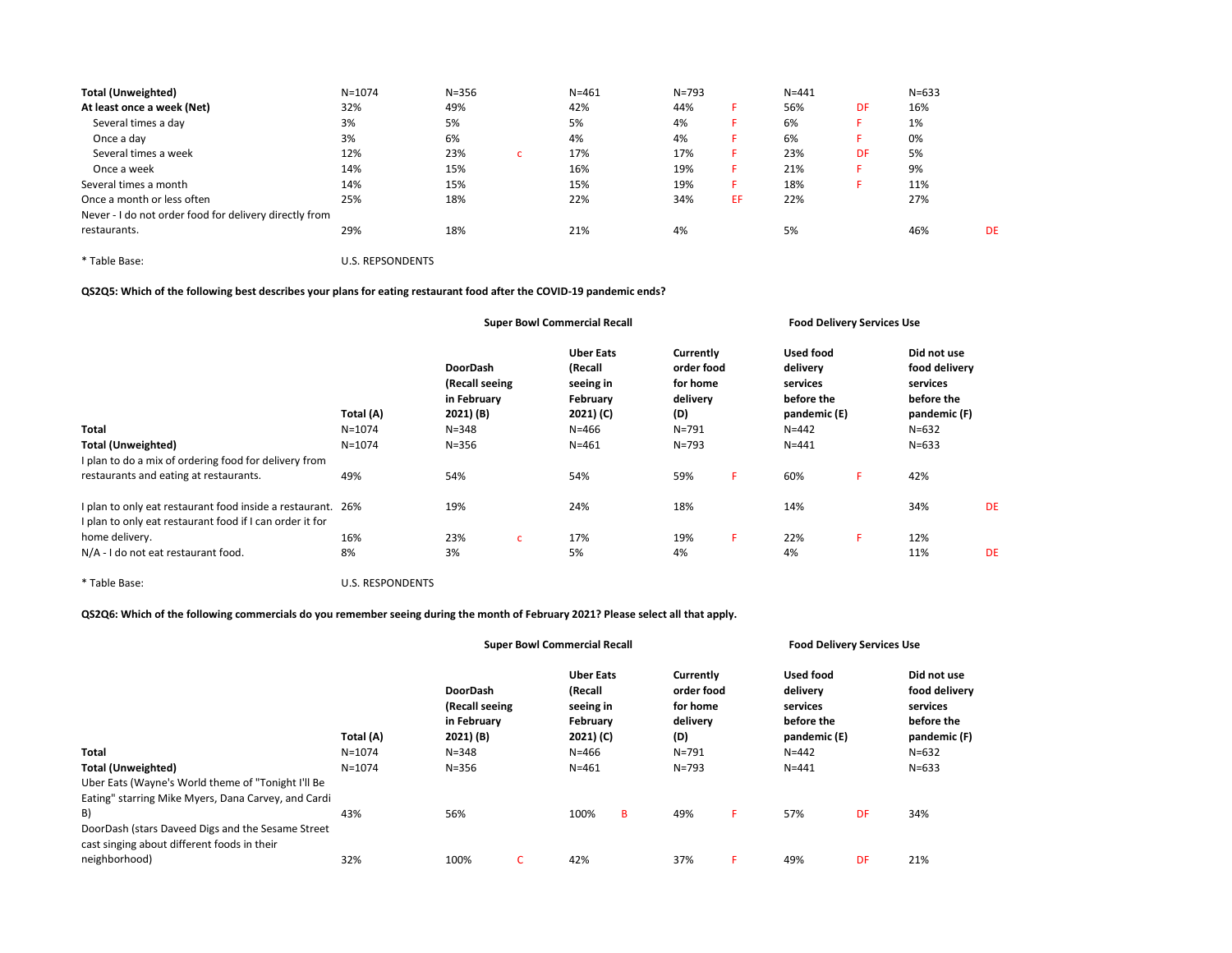| <b>Total (Unweighted)</b>                              | $N = 1074$ | $N = 356$ | $N = 461$ | $N = 793$ |     | $N = 441$ |    | $N = 633$ |           |
|--------------------------------------------------------|------------|-----------|-----------|-----------|-----|-----------|----|-----------|-----------|
| At least once a week (Net)                             | 32%        | 49%       | 42%       | 44%       |     | 56%       | DF | 16%       |           |
| Several times a day                                    | 3%         | 5%        | 5%        | 4%        |     | 6%        |    | 1%        |           |
| Once a day                                             | 3%         | 6%        | 4%        | 4%        |     | 6%        |    | 0%        |           |
| Several times a week                                   | 12%        | 23%       | 17%       | 17%       |     | 23%       | DF | 5%        |           |
| Once a week                                            | 14%        | 15%       | 16%       | 19%       | ь.  | 21%       |    | 9%        |           |
| Several times a month                                  | 14%        | 15%       | 15%       | 19%       |     | 18%       |    | 11%       |           |
| Once a month or less often                             | 25%        | 18%       | 22%       | 34%       | EF. | 22%       |    | 27%       |           |
| Never - I do not order food for delivery directly from |            |           |           |           |     |           |    |           |           |
| restaurants.                                           | 29%        | 18%       | 21%       | 4%        |     | 5%        |    | 46%       | <b>DE</b> |
|                                                        |            |           |           |           |     |           |    |           |           |

\* Table Base: U.S. REPSONDENTS

QS2Q5: Which of the following best describes your plans for eating restaurant food after the COVID-19 pandemic ends?

|                                                                                                                         |                         |                                                                            |              | <b>Super Bowl Commercial Recall</b>                                            |                                                                     |    |                                                                              | <b>Food Delivery Services Use</b> |                                                                                     |    |
|-------------------------------------------------------------------------------------------------------------------------|-------------------------|----------------------------------------------------------------------------|--------------|--------------------------------------------------------------------------------|---------------------------------------------------------------------|----|------------------------------------------------------------------------------|-----------------------------------|-------------------------------------------------------------------------------------|----|
| <b>Total</b>                                                                                                            | Total (A)<br>$N = 1074$ | <b>DoorDash</b><br>(Recall seeing<br>in February<br>2021) (B)<br>$N = 348$ |              | <b>Uber Eats</b><br>(Recall<br>seeing in<br>February<br>2021) (C)<br>$N = 466$ | Currently<br>order food<br>for home<br>delivery<br>(D)<br>$N = 791$ |    | Used food<br>delivery<br>services<br>before the<br>pandemic (E)<br>$N = 442$ |                                   | Did not use<br>food delivery<br>services<br>before the<br>pandemic (F)<br>$N = 632$ |    |
| <b>Total (Unweighted)</b>                                                                                               | $N = 1074$              | $N = 356$                                                                  |              | $N = 461$                                                                      | $N = 793$                                                           |    | $N = 441$                                                                    |                                   | $N = 633$                                                                           |    |
| I plan to do a mix of ordering food for delivery from                                                                   |                         |                                                                            |              |                                                                                |                                                                     |    |                                                                              |                                   |                                                                                     |    |
| restaurants and eating at restaurants.                                                                                  | 49%                     | 54%                                                                        |              | 54%                                                                            | 59%                                                                 | F. | 60%                                                                          | F.                                | 42%                                                                                 |    |
| I plan to only eat restaurant food inside a restaurant. 26%<br>I plan to only eat restaurant food if I can order it for |                         | 19%                                                                        |              | 24%                                                                            | 18%                                                                 |    | 14%                                                                          |                                   | 34%                                                                                 | DE |
| home delivery.                                                                                                          | 16%                     | 23%                                                                        | $\mathsf{C}$ | 17%                                                                            | 19%                                                                 | F. | 22%                                                                          | F.                                | 12%                                                                                 |    |
| N/A - I do not eat restaurant food.                                                                                     | 8%                      | 3%                                                                         |              | 5%                                                                             | 4%                                                                  |    | 4%                                                                           |                                   | 11%                                                                                 | DE |

\* Table Base: U.S. RESPONDENTS

QS2Q6: Which of the following commercials do you remember seeing during the month of February 2021? Please select all that apply.

|                                                                                                  |            |                                                               | <b>Super Bowl Commercial Recall</b> |                                                                   |   |                                                        |    | <b>Food Delivery Services Use</b>                               |    |                                                                        |
|--------------------------------------------------------------------------------------------------|------------|---------------------------------------------------------------|-------------------------------------|-------------------------------------------------------------------|---|--------------------------------------------------------|----|-----------------------------------------------------------------|----|------------------------------------------------------------------------|
|                                                                                                  | Total (A)  | <b>DoorDash</b><br>(Recall seeing<br>in February<br>2021) (B) |                                     | <b>Uber Eats</b><br>(Recall<br>seeing in<br>February<br>2021) (C) |   | Currently<br>order food<br>for home<br>delivery<br>(D) |    | Used food<br>delivery<br>services<br>before the<br>pandemic (E) |    | Did not use<br>food delivery<br>services<br>before the<br>pandemic (F) |
| Total                                                                                            | $N = 1074$ | $N = 348$                                                     |                                     | $N = 466$                                                         |   | $N = 791$                                              |    | $N = 442$                                                       |    | $N = 632$                                                              |
| <b>Total (Unweighted)</b>                                                                        | $N = 1074$ | $N = 356$                                                     |                                     | $N = 461$                                                         |   | $N = 793$                                              |    | $N = 441$                                                       |    | $N = 633$                                                              |
| Uber Eats (Wayne's World theme of "Tonight I'll Be                                               |            |                                                               |                                     |                                                                   |   |                                                        |    |                                                                 |    |                                                                        |
| Eating" starring Mike Myers, Dana Carvey, and Cardi                                              |            |                                                               |                                     |                                                                   |   |                                                        |    |                                                                 |    |                                                                        |
| B)                                                                                               | 43%        | 56%                                                           |                                     | 100%                                                              | B | 49%                                                    | F. | 57%                                                             | DF | 34%                                                                    |
| DoorDash (stars Daveed Digs and the Sesame Street<br>cast singing about different foods in their |            |                                                               |                                     |                                                                   |   |                                                        |    |                                                                 |    |                                                                        |
| neighborhood)                                                                                    | 32%        | 100%                                                          | C                                   | 42%                                                               |   | 37%                                                    | F. | 49%                                                             | DF | 21%                                                                    |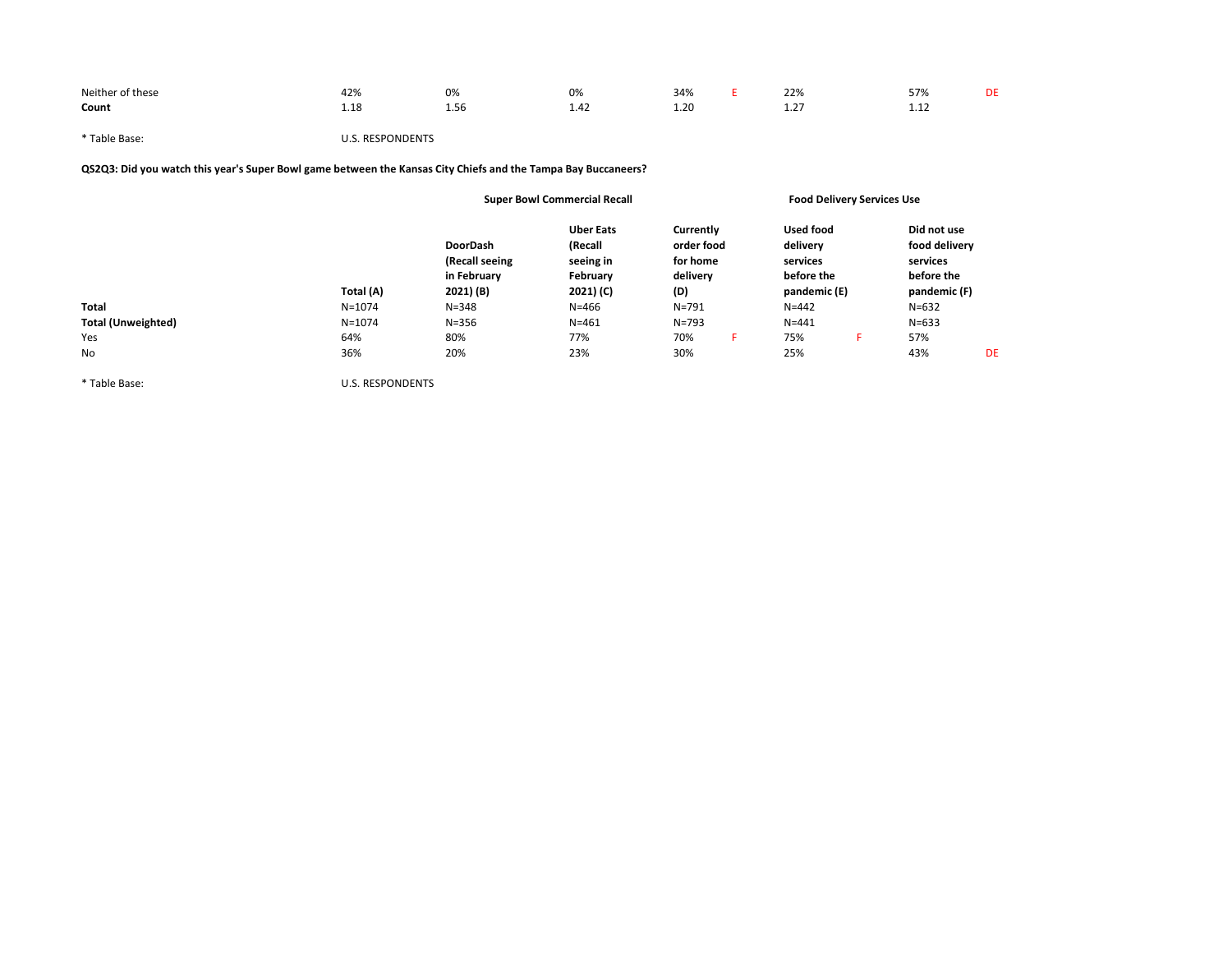| Neither of these<br>. | 170.<br>and the state of the state of the | 0%<br>$ -$ | 0%                     | 34%<br>$\sim$ $\sim$ | 22%               | ---<br>$\cdot$ . $\cdot$<br><i>JII</i><br>$\sim$ $\sim$ | DF |
|-----------------------|-------------------------------------------|------------|------------------------|----------------------|-------------------|---------------------------------------------------------|----|
| Count                 | ⊥.⊥c                                      | .<br>1.56  | $\overline{a}$<br>1.42 | 1.20                 | $\sim$<br><b></b> | .                                                       |    |

\* Table Base: U.S. RESPONDENTS

QS2Q3: Did you watch this year's Super Bowl game between the Kansas City Chiefs and the Tampa Bay Buccaneers?

|                           |            |                                                               | <b>Super Bowl Commercial Recall</b>                               |                                                        | <b>Food Delivery Services Use</b>                                      |                                                                        |    |
|---------------------------|------------|---------------------------------------------------------------|-------------------------------------------------------------------|--------------------------------------------------------|------------------------------------------------------------------------|------------------------------------------------------------------------|----|
|                           | Total (A)  | <b>DoorDash</b><br>(Recall seeing<br>in February<br>2021) (B) | <b>Uber Eats</b><br>(Recall<br>seeing in<br>February<br>2021) (C) | Currently<br>order food<br>for home<br>delivery<br>(D) | <b>Used food</b><br>delivery<br>services<br>before the<br>pandemic (E) | Did not use<br>food delivery<br>services<br>before the<br>pandemic (F) |    |
| Total                     | $N = 1074$ | $N = 348$                                                     | $N = 466$                                                         | $N = 791$                                              | $N = 442$                                                              | $N = 632$                                                              |    |
| <b>Total (Unweighted)</b> | $N = 1074$ | $N = 356$                                                     | $N = 461$                                                         | $N = 793$                                              | $N = 441$                                                              | $N = 633$                                                              |    |
| Yes                       | 64%        | 80%                                                           | 77%                                                               | 70%<br>н                                               | 75%<br>н.                                                              | 57%                                                                    |    |
| No                        | 36%        | 20%                                                           | 23%                                                               | 30%                                                    | 25%                                                                    | 43%                                                                    | DE |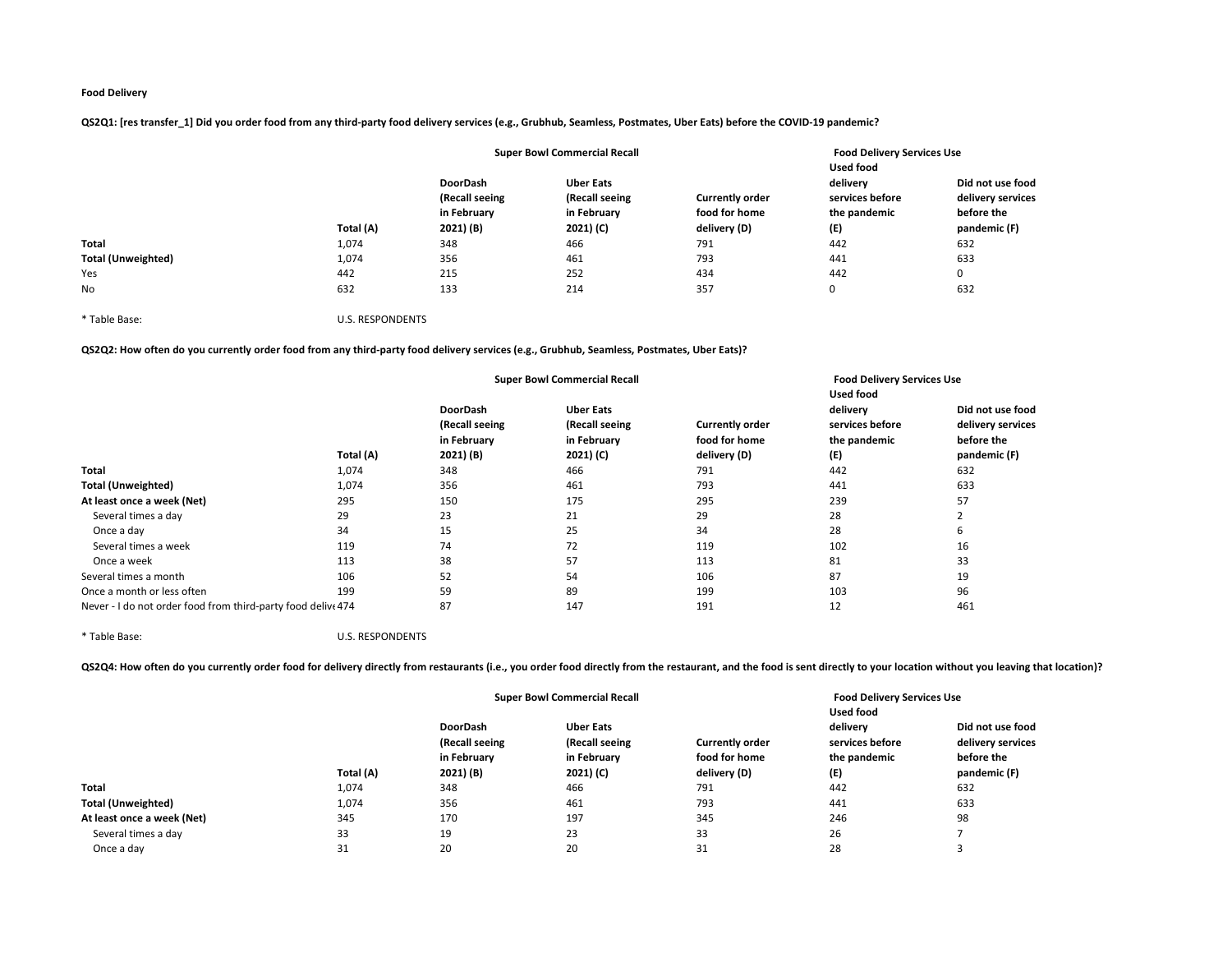QS2Q1: [res transfer\_1] Did you order food from any third-party food delivery services (e.g., Grubhub, Seamless, Postmates, Uber Eats) before the COVID-19 pandemic?

|                           |           | <b>Super Bowl Commercial Recall</b> |                                    |                        | <b>Food Delivery Services Use</b><br>Used food |                                       |  |
|---------------------------|-----------|-------------------------------------|------------------------------------|------------------------|------------------------------------------------|---------------------------------------|--|
|                           |           | <b>DoorDash</b><br>(Recall seeing   | <b>Uber Eats</b><br>(Recall seeing | <b>Currently order</b> | delivery<br>services before                    | Did not use food<br>delivery services |  |
|                           |           | in February                         | in February                        | food for home          | the pandemic                                   | before the                            |  |
|                           | Total (A) | 2021) (B)                           | 2021) (C)                          | delivery (D)           | (E)                                            | pandemic (F)                          |  |
| <b>Total</b>              | 1,074     | 348                                 | 466                                | 791                    | 442                                            | 632                                   |  |
| <b>Total (Unweighted)</b> | 1,074     | 356                                 | 461                                | 793                    | 441                                            | 633                                   |  |
| Yes                       | 442       | 215                                 | 252                                | 434                    | 442                                            | 0                                     |  |
| <b>No</b>                 | 632       | 133                                 | 214                                | 357                    | 0                                              | 632                                   |  |

\* Table Base: U.S. RESPONDENTS

QS2Q2: How often do you currently order food from any third-party food delivery services (e.g., Grubhub, Seamless, Postmates, Uber Eats)?

|                                                              |           |                                   | <b>Super Bowl Commercial Recall</b> |                                    | <b>Food Delivery Services Use</b><br><b>Used food</b> |                             |                                       |  |
|--------------------------------------------------------------|-----------|-----------------------------------|-------------------------------------|------------------------------------|-------------------------------------------------------|-----------------------------|---------------------------------------|--|
|                                                              |           | <b>DoorDash</b><br>(Recall seeing |                                     | <b>Uber Eats</b><br>(Recall seeing | <b>Currently order</b>                                | delivery<br>services before | Did not use food<br>delivery services |  |
|                                                              | Total (A) | in February<br>2021) (B)          | in February<br>2021) (C)            | food for home<br>delivery (D)      | the pandemic<br>(E)                                   | before the<br>pandemic (F)  |                                       |  |
| <b>Total</b>                                                 | 1,074     | 348                               | 466                                 | 791                                | 442                                                   | 632                         |                                       |  |
| <b>Total (Unweighted)</b>                                    | 1,074     | 356                               | 461                                 | 793                                | 441                                                   | 633                         |                                       |  |
| At least once a week (Net)                                   | 295       | 150                               | 175                                 | 295                                | 239                                                   | 57                          |                                       |  |
| Several times a day                                          | 29        | 23                                | 21                                  | 29                                 | 28                                                    | $\mathbf{\hat{}}$           |                                       |  |
| Once a day                                                   | 34        | 15                                | 25                                  | 34                                 | 28                                                    | 6                           |                                       |  |
| Several times a week                                         | 119       | 74                                | 72                                  | 119                                | 102                                                   | 16                          |                                       |  |
| Once a week                                                  | 113       | 38                                | 57                                  | 113                                | 81                                                    | 33                          |                                       |  |
| Several times a month                                        | 106       | 52                                | 54                                  | 106                                | 87                                                    | 19                          |                                       |  |
| Once a month or less often                                   | 199       | 59                                | 89                                  | 199                                | 103                                                   | 96                          |                                       |  |
| Never - I do not order food from third-party food delive 474 |           | 87                                | 147                                 | 191                                | 12                                                    | 461                         |                                       |  |

\* Table Base: U.S. RESPONDENTS

QS2Q4: How often do you currently order food for delivery directly from restaurants (i.e., you order food directly from the restaurant, and the food is sent directly to your location without you leaving that location)?

|                            |           | <b>Super Bowl Commercial Recall</b> |                          |                               | <b>Food Delivery Services Use</b><br><b>Used food</b> |                                       |
|----------------------------|-----------|-------------------------------------|--------------------------|-------------------------------|-------------------------------------------------------|---------------------------------------|
|                            |           | DoorDash<br>(Recall seeing          |                          | <b>Currently order</b>        | delivery<br>services before                           | Did not use food<br>delivery services |
|                            | Total (A) | in February<br>2021) (B)            | in February<br>2021) (C) | food for home<br>delivery (D) | the pandemic<br>(E)                                   | before the<br>pandemic (F)            |
| <b>Total</b>               | 1,074     | 348                                 | 466                      | 791                           | 442                                                   | 632                                   |
| <b>Total (Unweighted)</b>  | 1,074     | 356                                 | 461                      | 793                           | 441                                                   | 633                                   |
| At least once a week (Net) | 345       | 170                                 | 197                      | 345                           | 246                                                   | 98                                    |
| Several times a day        | 33        | 19                                  | 23                       | 33                            | 26                                                    |                                       |
| Once a day                 | 31        | 20                                  | 20                       | 31                            | 28                                                    |                                       |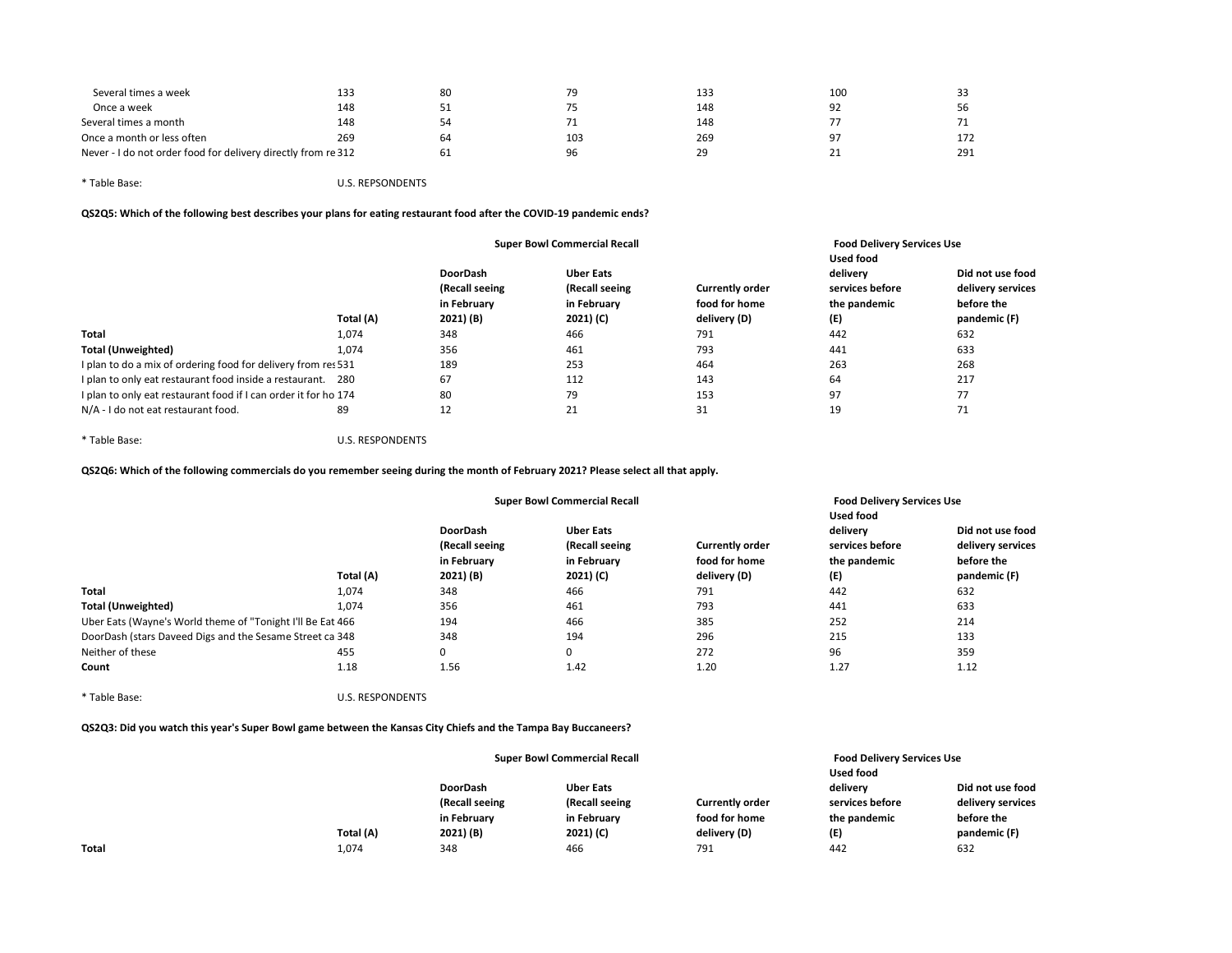| Several times a week                                          | 133 | 80 | 79  | 133 | 100              |     |
|---------------------------------------------------------------|-----|----|-----|-----|------------------|-----|
| Once a week                                                   | 148 |    |     | 148 | 92               | 56  |
| Several times a month                                         | 148 |    |     | 148 |                  |     |
| Once a month or less often                                    | 269 | 64 | 103 | 269 | 97               | 172 |
| Never - I do not order food for delivery directly from re 312 |     | 61 | 96  | 29  | 21<br><u>_ _</u> | 291 |
|                                                               |     |    |     |     |                  |     |

| <b>U.S. REPSONDENTS</b> |
|-------------------------|
|                         |

QS2Q5: Which of the following best describes your plans for eating restaurant food after the COVID-19 pandemic ends?

|                                                                 |           |                                                  | <b>Super Bowl Commercial Recall</b>               |                                         | <b>Food Delivery Services Use</b><br><b>Used food</b> |                                                     |  |
|-----------------------------------------------------------------|-----------|--------------------------------------------------|---------------------------------------------------|-----------------------------------------|-------------------------------------------------------|-----------------------------------------------------|--|
|                                                                 |           | <b>DoorDash</b><br>(Recall seeing<br>in February | <b>Uber Eats</b><br>(Recall seeing<br>in February | <b>Currently order</b><br>food for home | delivery<br>services before<br>the pandemic           | Did not use food<br>delivery services<br>before the |  |
|                                                                 | Total (A) | 2021) (B)                                        | 2021) (C)                                         | delivery (D)                            | (E)                                                   | pandemic (F)                                        |  |
| <b>Total</b>                                                    | 1,074     | 348                                              | 466                                               | 791                                     | 442                                                   | 632                                                 |  |
| <b>Total (Unweighted)</b>                                       | 1.074     | 356                                              | 461                                               | 793                                     | 441                                                   | 633                                                 |  |
| I plan to do a mix of ordering food for delivery from res 531   |           | 189                                              | 253                                               | 464                                     | 263                                                   | 268                                                 |  |
| I plan to only eat restaurant food inside a restaurant. 280     |           | 67                                               | 112                                               | 143                                     | 64                                                    | 217                                                 |  |
| I plan to only eat restaurant food if I can order it for ho 174 |           | 80                                               | 79                                                | 153                                     | 97                                                    | 77                                                  |  |
| N/A - I do not eat restaurant food.                             | 89        | 12                                               | 21                                                | 31                                      | 19                                                    | 71                                                  |  |

\* Table Base: U.S. RESPONDENTS

QS2Q6: Which of the following commercials do you remember seeing during the month of February 2021? Please select all that apply.

|                                                            |           | <b>Super Bowl Commercial Recall</b> |                                    |                        | <b>Food Delivery Services Use</b><br><b>Used food</b> |                                       |  |
|------------------------------------------------------------|-----------|-------------------------------------|------------------------------------|------------------------|-------------------------------------------------------|---------------------------------------|--|
|                                                            |           | <b>DoorDash</b><br>(Recall seeing   | <b>Uber Eats</b><br>(Recall seeing | <b>Currently order</b> | delivery<br>services before                           | Did not use food<br>delivery services |  |
|                                                            |           | in February                         | in February                        | food for home          | the pandemic                                          | before the                            |  |
|                                                            | Total (A) | 2021) (B)                           | 2021) (C)                          | delivery (D)           | (E)                                                   | pandemic (F)                          |  |
| <b>Total</b>                                               | 1,074     | 348                                 | 466                                | 791                    | 442                                                   | 632                                   |  |
| <b>Total (Unweighted)</b>                                  | 1.074     | 356                                 | 461                                | 793                    | 441                                                   | 633                                   |  |
| Uber Eats (Wayne's World theme of "Tonight I'll Be Eat 466 |           | 194                                 | 466                                | 385                    | 252                                                   | 214                                   |  |
| DoorDash (stars Daveed Digs and the Sesame Street ca 348   |           | 348                                 | 194                                | 296                    | 215                                                   | 133                                   |  |
| Neither of these                                           | 455       | 0                                   | 0                                  | 272                    | 96                                                    | 359                                   |  |
| Count                                                      | 1.18      | 1.56                                | 1.42                               | 1.20                   | 1.27                                                  | 1.12                                  |  |

\* Table Base: U.S. RESPONDENTS

QS2Q3: Did you watch this year's Super Bowl game between the Kansas City Chiefs and the Tampa Bay Buccaneers?

|              |           | <b>Super Bowl Commercial Recall</b> |                  |                        | <b>Food Delivery Services Use</b> |                   |  |
|--------------|-----------|-------------------------------------|------------------|------------------------|-----------------------------------|-------------------|--|
|              |           |                                     |                  |                        | Used food                         |                   |  |
|              |           | <b>DoorDash</b>                     | <b>Uber Eats</b> |                        | delivery                          | Did not use food  |  |
|              |           | (Recall seeing                      | (Recall seeing   | <b>Currently order</b> | services before                   | delivery services |  |
|              |           | in February                         | in February      | food for home          | the pandemic                      | before the        |  |
|              | Total (A) | 2021) (B)                           | 2021) (C)        | delivery (D)           | (E)                               | pandemic (F)      |  |
| <b>Total</b> | 1,074     | 348                                 | 466              | 791                    | 442                               | 632               |  |